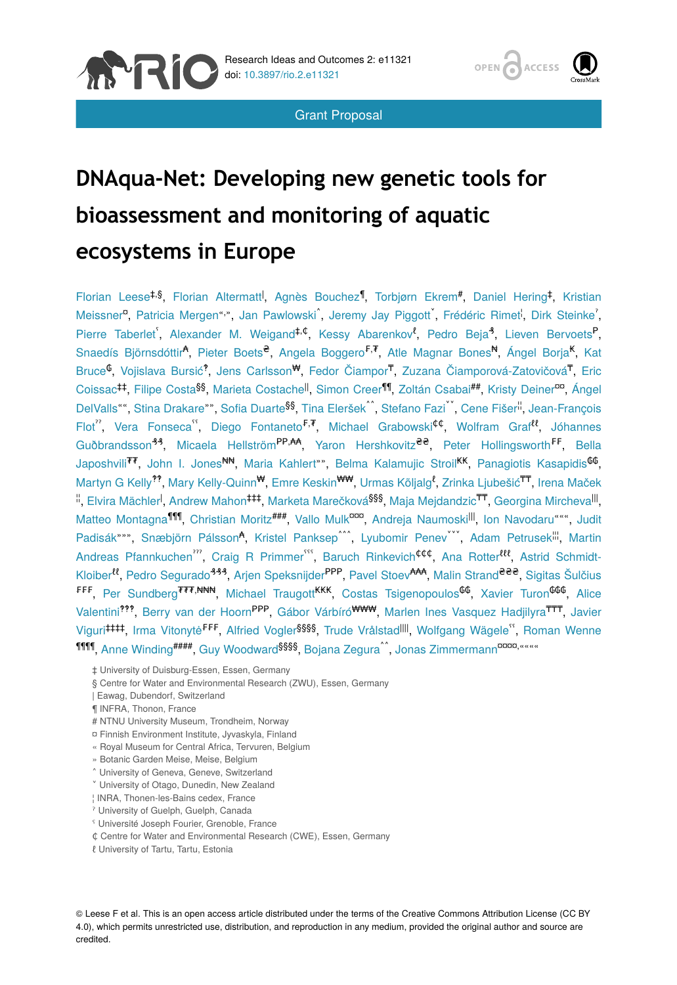

Grant Proposal



# **DNAqua-Net: Developing new genetic tools for bioassessment and monitoring of aquatic ecosystems in Europe**

Florian Leese<sup>‡,§</sup>, Florian Altermatt<sup>I</sup>, Agnès Bouchez<sup>¶</sup>, Torbjørn Ekrem<sup>#</sup>, Daniel Hering<sup>‡</sup>, Kristian Meissner<sup>a</sup>, Patricia Mergen"<sup>,</sup>", Jan Pawlowski , Jeremy Jay Piggott , Frédéric Rimet<sup>i</sup>, Dirk Steinke', Pierre Taberlet<sup>6</sup>, Alexander M. Weigand<sup>‡,¢</sup>, Kessy Abarenkov<sup>8</sup>, Pedro Beja<sup>4</sup>, Lieven Bervoets<sup>P</sup>, Snaedís Björnsdóttir<sup>a</sup>, Pieter Boets<sup>e</sup>, Angela Boggero<sup>F, T</sup>, Atle Magnar Bones<sup>N</sup>, Ángel Borja<sup>K</sup>, Kat Bruce<sup>C</sup>, Vojislava Bursić<sup>9</sup>, Jens Carlsson<sup>ty</sup>, Fedor Čiampor<sup>T</sup>, Zuzana Čiamporová-Zatovičová<sup>T</sup>, Eric Coissac<sup>‡‡</sup>, Filipe Costa<sup>§§</sup>, Marieta Costachel<sup>l</sup>, Simon Creer¶, Zoltán Csabai<sup>##</sup>, Kristy Deiner<sup>oo</sup>, Ángel DelValls"", Stina Drakare"", Sofia Duarte<sup>§§</sup>, Tina Eleršek<sup>^^</sup>, Stefano Fazi<sup>v\*</sup>, Cene Fišer<sup>ii</sup>, Jean-François Flot", Vera Fonseca", Diego Fontaneto<sup>F, T</sup>, Michael Grabowski<sup>¢¢</sup>, Wolfram Graf<sup>ee</sup>, Jóhannes Guðbrandsson<sup>44</sup>, Micaela Hellström<sup>pp</sup>, <sup>A</sup>, Yaron Hershkovitz<sup>ee</sup>, Peter Hollingsworth<sup>FF</sup>, Bella Japoshvili<sup>77</sup>, John I. Jones<sup>NN</sup>, Maria Kahlert"", Belma Kalamujic Stroil<sup>KK</sup>, Panagiotis Kasapidis<sup>66</sup>, Martyn G Kelly<sup>??</sup>, Mary Kelly-Quinn<sup>w</sup>, Emre Keskin<sup>ww</sup>, Urmas Kõljalg<sup>8</sup>, Zrinka Ljubešić<sup>TT</sup>, Irena Maček  $\overset{..}{\shortparallel},$  Elvira Mächler $^\text{I}$ , Andrew Mahon $^\text{t\text{t}\text{t}}$ , Marketa Marečková $^\text{688},$  Maja Mejdandzic $^\text{t\overline{t}\text{t}},$  Georgina Mircheva $^\text{III}$ , Matteo Montagna<sup>1111</sup>, Christian Moritz<sup>###</sup>, Vallo Mulk<sup>ooo</sup>, Andreja Naumoski<sup>lll</sup>, Ion Navodaru "", Judit Padisák \*\*\*, Snæbjörn Pálsson<sup>4</sup>, Kristel Panksep<sup>^^</sup>, Lyubomir Penev , Adam Petrusek<sup>ill</sup>, Martin Andreas Pfannkuchen<sup>77</sup>, Craig R Primmer<sup>555</sup>, Baruch Rinkevich<sup>¢¢¢</sup>, Ana Rotter<sup>ttt</sup>, Astrid Schmidt-Kloiber<sup>tt</sup>, Pedro Segurado<sup>444</sup>, Arjen Speksnijder<sup>PPP</sup>, Pavel Stoev<sup>AAA</sup>, Malin Strand<sup>eee</sup>, Sigitas Šulčius <sup>₣₣₣</sup>, Per Sundberg<sup>₮₮₮,₦₦₦</sup>, Michael Traugott<sup>KKK</sup>, Costas Tsigenopoulos<sup>₲₲</sup>, Xavier Turon<sup>₲₲₲</sup>, Alice Valentini<sup>999</sup>, Berry van der Hoorn<sup>PPP</sup>, Gábor Várbíró<sup>www,</sup>, Marlen Ines Vasquez Hadjilyra<sup>TTT</sup>, Javier Viguri###, Irma Vitonytė<sup>FFF</sup>, Alfried Vogler<sup>§§§§</sup>, Trude Vrålstad<sup>IIII</sup>, Wolfgang Wägele<sup>65</sup>, Roman Wenne 1111, Anne Winding<sup>####</sup>, Guy Woodward<sup>§§§§</sup>, Bojana Zegura^^, Jonas Zimmermann<sup>¤¤¤¤,</sup>«««

- ‡ University of Duisburg-Essen, Essen, Germany
- § Centre for Water and Environmental Research (ZWU), Essen, Germany
- | Eawag, Dubendorf, Switzerland
- ¶ INFRA, Thonon, France
- # NTNU University Museum, Trondheim, Norway
- ¤ Finnish Environment Institute, Jyvaskyla, Finland
- « Royal Museum for Central Africa, Tervuren, Belgium
- » Botanic Garden Meise, Meise, Belgium
- ˄ University of Geneva, Geneve, Switzerland
- ˅ University of Otago, Dunedin, New Zealand
- ¦ INRA, Thonen-les-Bains cedex, France
- ˀ University of Guelph, Guelph, Canada
- ˁ Université Joseph Fourier, Grenoble, France
- ₵ Centre for Water and Environmental Research (CWE), Essen, Germany
- ℓ University of Tartu, Tartu, Estonia

© Leese F et al. This is an open access article distributed under the terms of the Creative Commons Attribution License (CC BY 4.0), which permits unrestricted use, distribution, and reproduction in any medium, provided the original author and source are credited.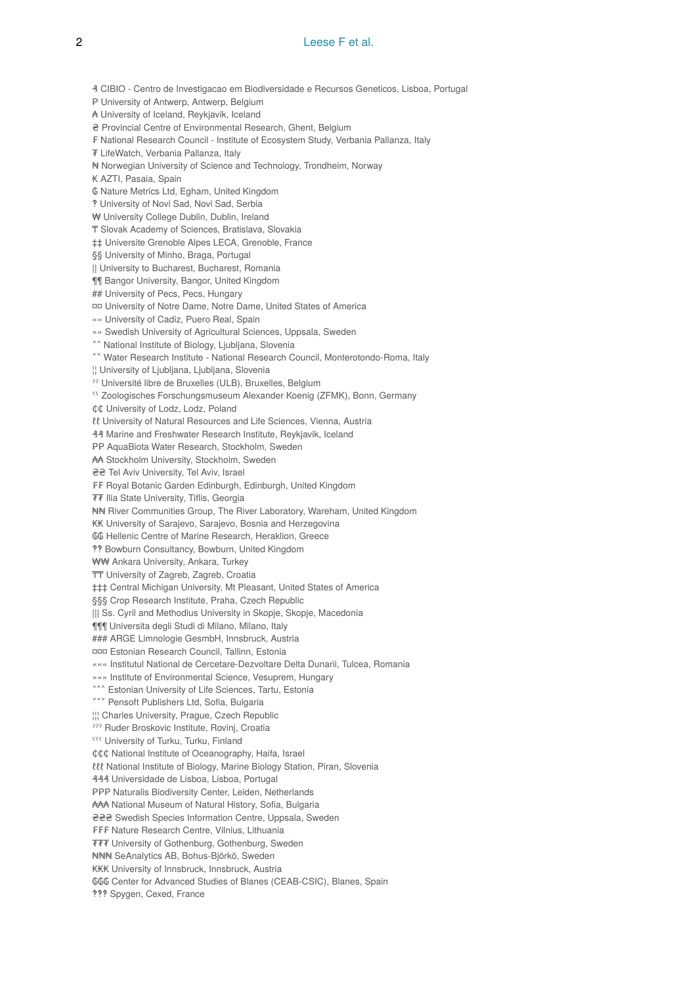#### 2 **Leese F et al.**

₰ CIBIO - Centro de Investigacao em Biodiversidade e Recursos Geneticos, Lisboa, Portugal P University of Antwerp, Antwerp, Belgium ₳ University of Iceland, Reykjavik, Iceland ₴ Provincial Centre of Environmental Research, Ghent, Belgium ₣ National Research Council - Institute of Ecosystem Study, Verbania Pallanza, Italy ₮ LifeWatch, Verbania Pallanza, Italy ₦ Norwegian University of Science and Technology, Trondheim, Norway ₭ AZTI, Pasaia, Spain ₲ Nature Metrics Ltd, Egham, United Kingdom ‽ University of Novi Sad, Novi Sad, Serbia ₩ University College Dublin, Dublin, Ireland ₸ Slovak Academy of Sciences, Bratislava, Slovakia ‡‡ Universite Grenoble Alpes LECA, Grenoble, France §§ University of Minho, Braga, Portugal || University to Bucharest, Bucharest, Romania ¶¶ Bangor University, Bangor, United Kingdom ## University of Pecs, Pecs, Hungary ¤¤ University of Notre Dame, Notre Dame, United States of America «« University of Cadiz, Puero Real, Spain »» Swedish University of Agricultural Sciences, Uppsala, Sweden ˄˄ National Institute of Biology, Ljubljana, Slovenia ˅˅ Water Research Institute - National Research Council, Monterotondo-Roma, Italy ¦¦ University of Ljubljana, Ljubljana, Slovenia ˀˀ Université libre de Bruxelles (ULB), Bruxelles, Belgium ˁˁ Zoologisches Forschungsmuseum Alexander Koenig (ZFMK), Bonn, Germany ¢¢ University of Lodz, Lodz, Poland ℓℓ University of Natural Resources and Life Sciences, Vienna, Austria ₰₰ Marine and Freshwater Research Institute, Reykjavik, Iceland PP AquaBiota Water Research, Stockholm, Sweden ₳₳ Stockholm University, Stockholm, Sweden ₴₴ Tel Aviv University, Tel Aviv, Israel FF Royal Botanic Garden Edinburgh, Edinburgh, United Kingdom ₮₮ Ilia State University, Tiflis, Georgia ₦₦ River Communities Group, The River Laboratory, Wareham, United Kingdom ₭₭ University of Sarajevo, Sarajevo, Bosnia and Herzegovina ₲₲ Hellenic Centre of Marine Research, Heraklion, Greece ‽‽ Bowburn Consultancy, Bowburn, United Kingdom ₩₩ Ankara University, Ankara, Turkey ₸₸ University of Zagreb, Zagreb, Croatia ‡‡‡ Central Michigan University, Mt Pleasant, United States of America §§§ Crop Research Institute, Praha, Czech Republic ||| Ss. Cyril and Methodius University in Skopje, Skopje, Macedonia ¶¶¶ Universita degli Studi di Milano, Milano, Italy ### ARGE Limnologie GesmbH, Innsbruck, Austria ¤¤¤ Estonian Research Council, Tallinn, Estonia ««« Institutul National de Cercetare-Dezvoltare Delta Dunarii, Tulcea, Romania »»» Institute of Environmental Science, Vesuprem, Hungary **<sup>444</sup>** Estonian University of Life Sciences, Tartu, Estonia **vvv** Pensoft Publishers Ltd, Sofia, Bulgaria ¦¦¦ Charles University, Prague, Czech Republic ˀˀˀ Ruder Broskovic Institute, Rovinj, Croatia **SSS** University of Turku, Turku, Finland ¢¢¢ National Institute of Oceanography, Haifa, Israel ℓℓℓ National Institute of Biology, Marine Biology Station, Piran, Slovenia ₰₰₰ Universidade de Lisboa, Lisboa, Portugal PPP Naturalis Biodiversity Center, Leiden, Netherlands ₳₳₳ National Museum of Natural History, Sofia, Bulgaria ₴₴₴ Swedish Species Information Centre, Uppsala, Sweden ₣₣₣ Nature Research Centre, Vilnius, Lithuania ₮₮₮ University of Gothenburg, Gothenburg, Sweden ₦₦₦ SeAnalytics AB, Bohus-Björkö, Sweden ₭₭₭ University of Innsbruck, Innsbruck, Austria ₲₲₲ Center for Advanced Studies of Blanes (CEAB-CSIC), Blanes, Spain

‽‽‽ Spygen, Cexed, France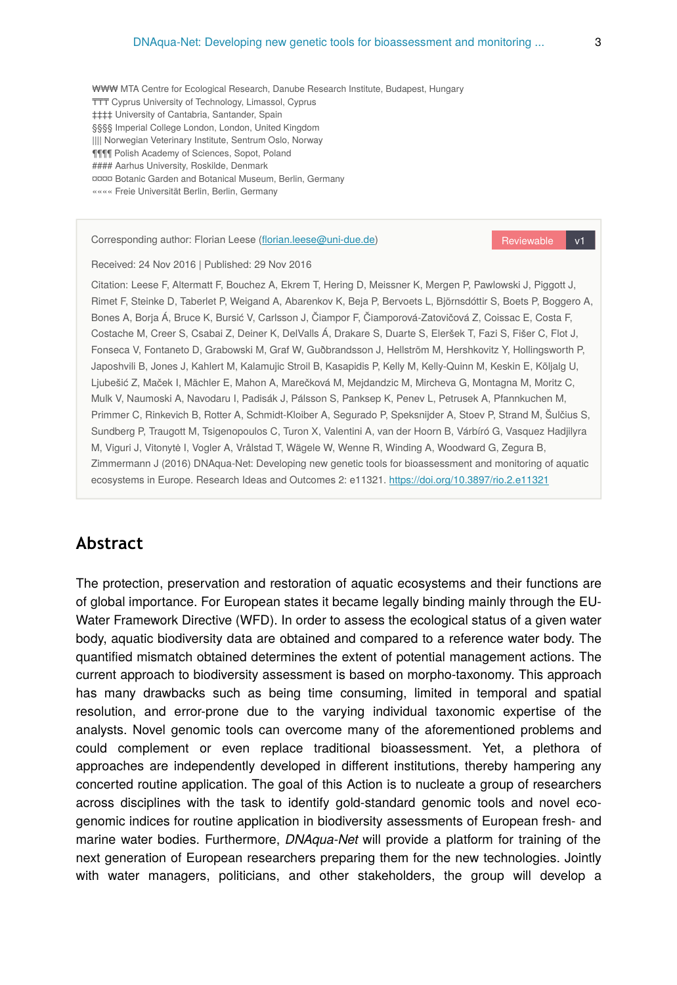₩₩₩ MTA Centre for Ecological Research, Danube Research Institute, Budapest, Hungary TTT Cyprus University of Technology, Limassol, Cyprus ‡‡‡‡ University of Cantabria, Santander, Spain §§§§ Imperial College London, London, United Kingdom |||| Norwegian Veterinary Institute, Sentrum Oslo, Norway ¶¶¶¶ Polish Academy of Sciences, Sopot, Poland #### Aarhus University, Roskilde, Denmark ¤¤¤¤ Botanic Garden and Botanical Museum, Berlin, Germany «««« Freie Universität Berlin, Berlin, Germany

Corresponding author: Florian Leese (fl[orian.leese@uni-due.de\)](mailto:florian.leese@uni-due.de?subject=Your%20manuscript%20in%20PWT%20#6665/Research%20Ideas%20and%20Outcomes%20#11321)

Reviewable v1

Received: 24 Nov 2016 | Published: 29 Nov 2016

Citation: Leese F, Altermatt F, Bouchez A, Ekrem T, Hering D, Meissner K, Mergen P, Pawlowski J, Piggott J, Rimet F, Steinke D, Taberlet P, Weigand A, Abarenkov K, Beja P, Bervoets L, Björnsdóttir S, Boets P, Boggero A, Bones A, Borja Á, Bruce K, Bursić V, Carlsson J, Čiampor F, Čiamporová-Zatovičová Z, Coissac E, Costa F, Costache M, Creer S, Csabai Z, Deiner K, DelValls Á, Drakare S, Duarte S, Eleršek T, Fazi S, Fišer C, Flot J, Fonseca V, Fontaneto D, Grabowski M, Graf W, Guðbrandsson J, Hellström M, Hershkovitz Y, Hollingsworth P, Japoshvili B, Jones J, Kahlert M, Kalamujic Stroil B, Kasapidis P, Kelly M, Kelly-Quinn M, Keskin E, Kõljalg U, Ljubešić Z, Maček I, Mächler E, Mahon A, Marečková M, Mejdandzic M, Mircheva G, Montagna M, Moritz C, Mulk V, Naumoski A, Navodaru I, Padisák J, Pálsson S, Panksep K, Penev L, Petrusek A, Pfannkuchen M, Primmer C, Rinkevich B, Rotter A, Schmidt-Kloiber A, Segurado P, Speksnijder A, Stoev P, Strand M, Šulčius S, Sundberg P, Traugott M, Tsigenopoulos C, Turon X, Valentini A, van der Hoorn B, Várbíró G, Vasquez Hadjilyra M, Viguri J, Vitonytė I, Vogler A, Vrålstad T, Wägele W, Wenne R, Winding A, Woodward G, Zegura B, Zimmermann J (2016) DNAqua-Net: Developing new genetic tools for bioassessment and monitoring of aquatic ecosystems in Europe. Research Ideas and Outcomes 2: e11321. <https://doi.org/10.3897/rio.2.e11321>

## **Abstract**

The protection, preservation and restoration of aquatic ecosystems and their functions are of global importance. For European states it became legally binding mainly through the EU-Water Framework Directive (WFD). In order to assess the ecological status of a given water body, aquatic biodiversity data are obtained and compared to a reference water body. The quantified mismatch obtained determines the extent of potential management actions. The current approach to biodiversity assessment is based on morpho-taxonomy. This approach has many drawbacks such as being time consuming, limited in temporal and spatial resolution, and error-prone due to the varying individual taxonomic expertise of the analysts. Novel genomic tools can overcome many of the aforementioned problems and could complement or even replace traditional bioassessment. Yet, a plethora of approaches are independently developed in different institutions, thereby hampering any concerted routine application. The goal of this Action is to nucleate a group of researchers across disciplines with the task to identify gold-standard genomic tools and novel ecogenomic indices for routine application in biodiversity assessments of European fresh- and marine water bodies. Furthermore, *DNAqua-Net* will provide a platform for training of the next generation of European researchers preparing them for the new technologies. Jointly with water managers, politicians, and other stakeholders, the group will develop a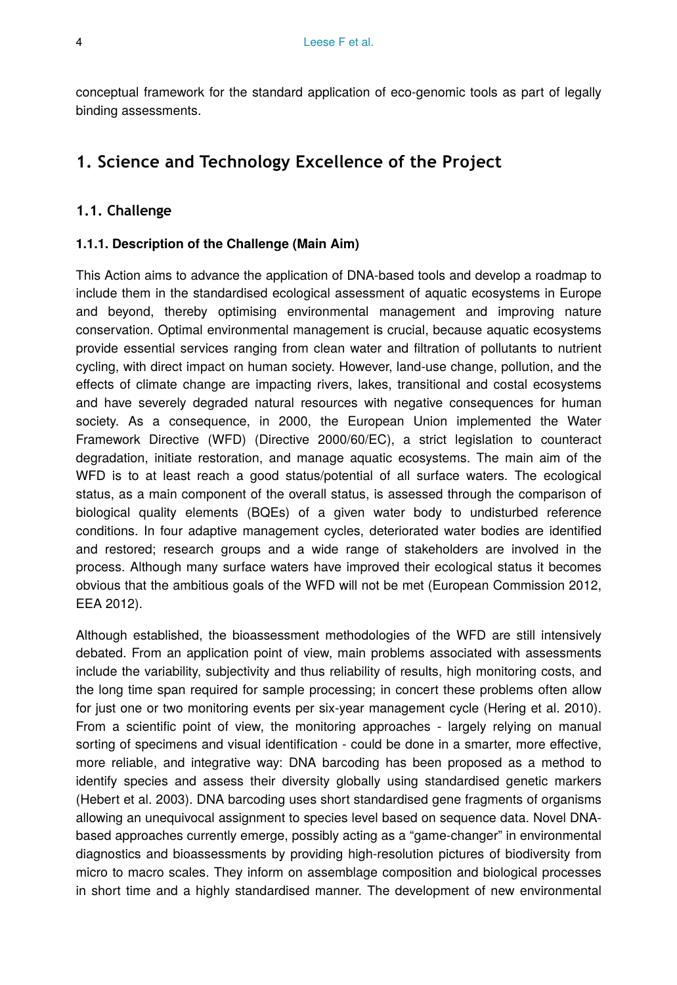conceptual framework for the standard application of eco-genomic tools as part of legally binding assessments.

# **1. Science and Technology Excellence of the Project**

## **1.1. Challenge**

#### **1.1.1. Description of the Challenge (Main Aim)**

This Action aims to advance the application of DNA-based tools and develop a roadmap to include them in the standardised ecological assessment of aquatic ecosystems in Europe and beyond, thereby optimising environmental management and improving nature conservation. Optimal environmental management is crucial, because aquatic ecosystems provide essential services ranging from clean water and filtration of pollutants to nutrient cycling, with direct impact on human society. However, land-use change, pollution, and the effects of climate change are impacting rivers, lakes, transitional and costal ecosystems and have severely degraded natural resources with negative consequences for human society. As a consequence, in 2000, the European Union implemented the Water Framework Directive (WFD) (Directive 2000/60/EC), a strict legislation to counteract degradation, initiate restoration, and manage aquatic ecosystems. The main aim of the WFD is to at least reach a good status/potential of all surface waters. The ecological status, as a main component of the overall status, is assessed through the comparison of biological quality elements (BQEs) of a given water body to undisturbed reference conditions. In four adaptive management cycles, deteriorated water bodies are identified and restored; research groups and a wide range of stakeholders are involved in the process. Although many surface waters have improved their ecological status it becomes obvious that the ambitious goals of the WFD will not be met (European Commission 2012, EEA 2012).

Although established, the bioassessment methodologies of the WFD are still intensively debated. From an application point of view, main problems associated with assessments include the variability, subjectivity and thus reliability of results, high monitoring costs, and the long time span required for sample processing; in concert these problems often allow for just one or two monitoring events per six-year management cycle (Hering et al. 2010). From a scientific point of view, the monitoring approaches - largely relying on manual sorting of specimens and visual identification - could be done in a smarter, more effective, more reliable, and integrative way: DNA barcoding has been proposed as a method to identify species and assess their diversity globally using standardised genetic markers (Hebert et al. 2003). DNA barcoding uses short standardised gene fragments of organisms allowing an unequivocal assignment to species level based on sequence data. Novel DNAbased approaches currently emerge, possibly acting as a "game-changer" in environmental diagnostics and bioassessments by providing high-resolution pictures of biodiversity from micro to macro scales. They inform on assemblage composition and biological processes in short time and a highly standardised manner. The development of new environmental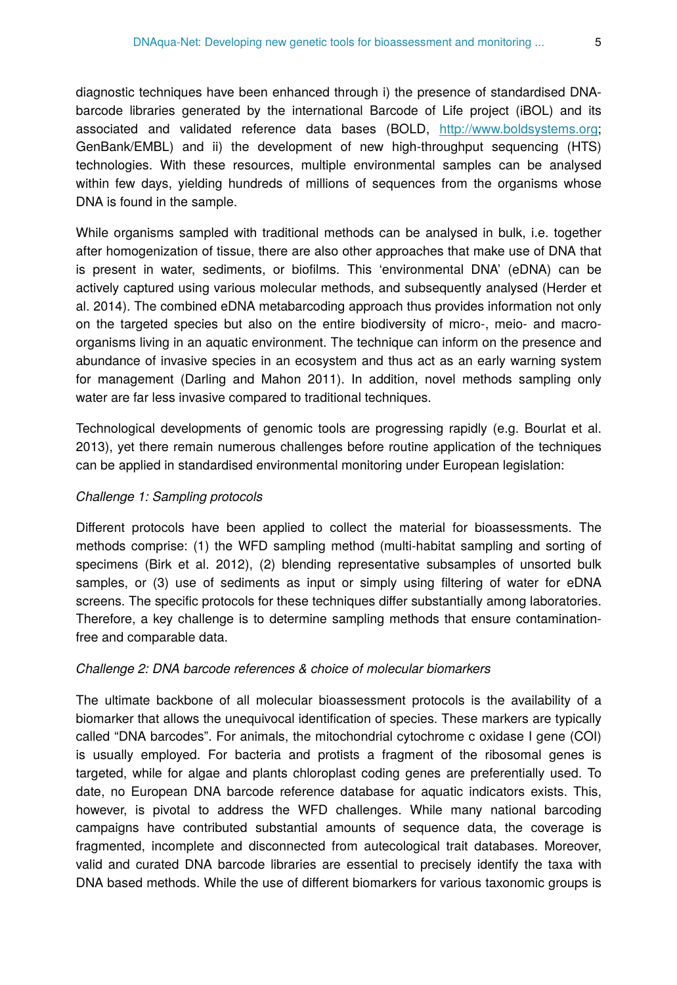diagnostic techniques have been enhanced through i) the presence of standardised DNAbarcode libraries generated by the international Barcode of Life project (iBOL) and its associated and validated reference data bases (BOLD, [http://www.boldsystems.org;](http://www.boldsystems.org/) GenBank/EMBL) and ii) the development of new high-throughput sequencing (HTS) technologies. With these resources, multiple environmental samples can be analysed within few days, yielding hundreds of millions of sequences from the organisms whose DNA is found in the sample.

While organisms sampled with traditional methods can be analysed in bulk, i.e. together after homogenization of tissue, there are also other approaches that make use of DNA that is present in water, sediments, or biofilms. This 'environmental DNA' (eDNA) can be actively captured using various molecular methods, and subsequently analysed (Herder et al. 2014). The combined eDNA metabarcoding approach thus provides information not only on the targeted species but also on the entire biodiversity of micro-, meio- and macroorganisms living in an aquatic environment. The technique can inform on the presence and abundance of invasive species in an ecosystem and thus act as an early warning system for management (Darling and Mahon 2011). In addition, novel methods sampling only water are far less invasive compared to traditional techniques.

Technological developments of genomic tools are progressing rapidly (e.g. Bourlat et al. 2013), yet there remain numerous challenges before routine application of the techniques can be applied in standardised environmental monitoring under European legislation:

#### *Challenge 1: Sampling protocols*

Different protocols have been applied to collect the material for bioassessments. The methods comprise: (1) the WFD sampling method (multi-habitat sampling and sorting of specimens (Birk et al. 2012), (2) blending representative subsamples of unsorted bulk samples, or (3) use of sediments as input or simply using filtering of water for eDNA screens. The specific protocols for these techniques differ substantially among laboratories. Therefore, a key challenge is to determine sampling methods that ensure contaminationfree and comparable data.

#### *Challenge 2: DNA barcode references & choice of molecular biomarkers*

The ultimate backbone of all molecular bioassessment protocols is the availability of a biomarker that allows the unequivocal identification of species. These markers are typically called "DNA barcodes". For animals, the mitochondrial cytochrome c oxidase I gene (COI) is usually employed. For bacteria and protists a fragment of the ribosomal genes is targeted, while for algae and plants chloroplast coding genes are preferentially used. To date, no European DNA barcode reference database for aquatic indicators exists. This, however, is pivotal to address the WFD challenges. While many national barcoding campaigns have contributed substantial amounts of sequence data, the coverage is fragmented, incomplete and disconnected from autecological trait databases. Moreover, valid and curated DNA barcode libraries are essential to precisely identify the taxa with DNA based methods. While the use of different biomarkers for various taxonomic groups is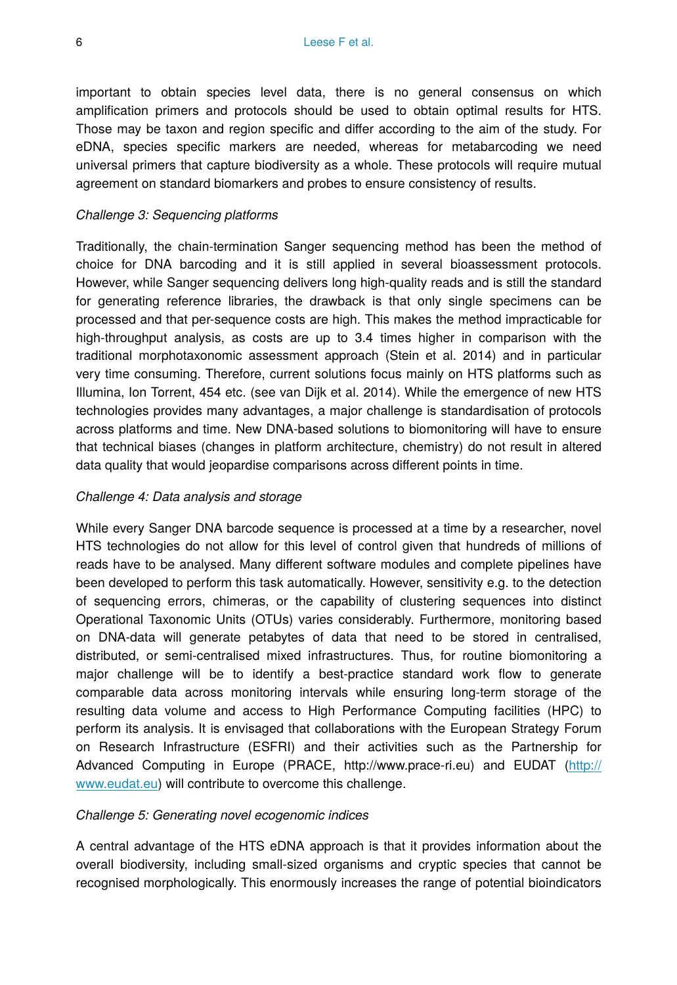important to obtain species level data, there is no general consensus on which amplification primers and protocols should be used to obtain optimal results for HTS. Those may be taxon and region specific and differ according to the aim of the study. For eDNA, species specific markers are needed, whereas for metabarcoding we need universal primers that capture biodiversity as a whole. These protocols will require mutual agreement on standard biomarkers and probes to ensure consistency of results.

#### *Challenge 3: Sequencing platforms*

Traditionally, the chain-termination Sanger sequencing method has been the method of choice for DNA barcoding and it is still applied in several bioassessment protocols. However, while Sanger sequencing delivers long high-quality reads and is still the standard for generating reference libraries, the drawback is that only single specimens can be processed and that per-sequence costs are high. This makes the method impracticable for high-throughput analysis, as costs are up to 3.4 times higher in comparison with the traditional morphotaxonomic assessment approach (Stein et al. 2014) and in particular very time consuming. Therefore, current solutions focus mainly on HTS platforms such as Illumina, Ion Torrent, 454 etc. (see van Dijk et al. 2014). While the emergence of new HTS technologies provides many advantages, a major challenge is standardisation of protocols across platforms and time. New DNA-based solutions to biomonitoring will have to ensure that technical biases (changes in platform architecture, chemistry) do not result in altered data quality that would jeopardise comparisons across different points in time.

#### *Challenge 4: Data analysis and storage*

While every Sanger DNA barcode sequence is processed at a time by a researcher, novel HTS technologies do not allow for this level of control given that hundreds of millions of reads have to be analysed. Many different software modules and complete pipelines have been developed to perform this task automatically. However, sensitivity e.g. to the detection of sequencing errors, chimeras, or the capability of clustering sequences into distinct Operational Taxonomic Units (OTUs) varies considerably. Furthermore, monitoring based on DNA-data will generate petabytes of data that need to be stored in centralised, distributed, or semi-centralised mixed infrastructures. Thus, for routine biomonitoring a major challenge will be to identify a best-practice standard work flow to generate comparable data across monitoring intervals while ensuring long-term storage of the resulting data volume and access to High Performance Computing facilities (HPC) to perform its analysis. It is envisaged that collaborations with the European Strategy Forum on Research Infrastructure (ESFRI) and their activities such as the Partnership for Advanced Computing in Europe (PRACE, [http://](http://www.eudat.eu/)www.prace-ri.eu) and EUDAT (http:// [www.eudat.eu](http://www.eudat.eu/)) will contribute to overcome this challenge.

#### *Challenge 5: Generating novel ecogenomic indices*

A central advantage of the HTS eDNA approach is that it provides information about the overall biodiversity, including small-sized organisms and cryptic species that cannot be recognised morphologically. This enormously increases the range of potential bioindicators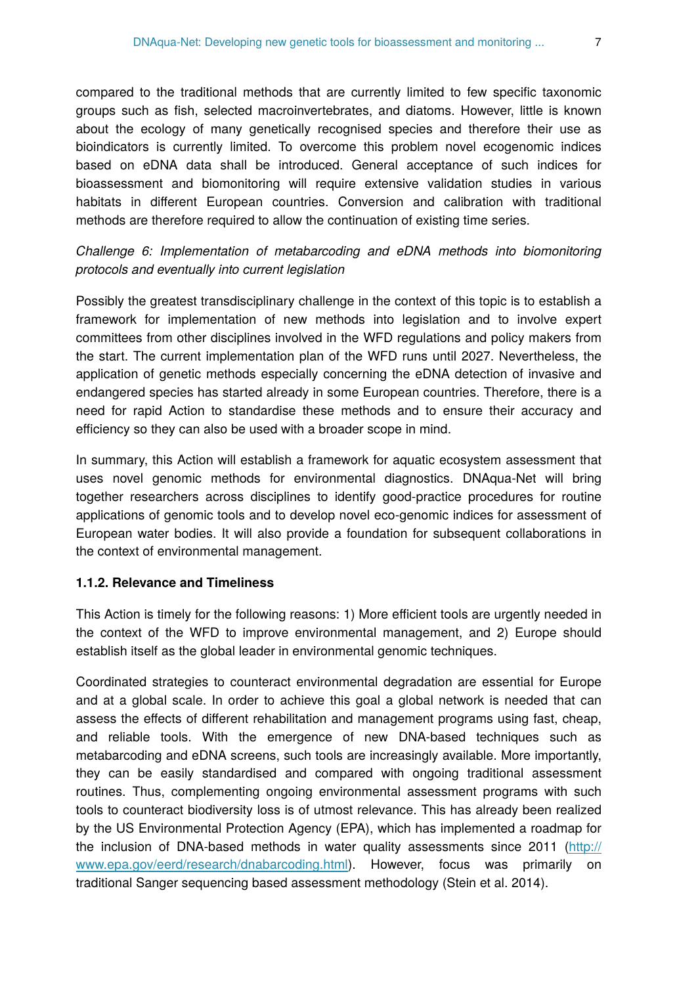compared to the traditional methods that are currently limited to few specific taxonomic groups such as fish, selected macroinvertebrates, and diatoms. However, little is known about the ecology of many genetically recognised species and therefore their use as bioindicators is currently limited. To overcome this problem novel ecogenomic indices based on eDNA data shall be introduced. General acceptance of such indices for bioassessment and biomonitoring will require extensive validation studies in various habitats in different European countries. Conversion and calibration with traditional methods are therefore required to allow the continuation of existing time series.

## *Challenge 6: Implementation of metabarcoding and eDNA methods into biomonitoring protocols and eventually into current legislation*

Possibly the greatest transdisciplinary challenge in the context of this topic is to establish a framework for implementation of new methods into legislation and to involve expert committees from other disciplines involved in the WFD regulations and policy makers from the start. The current implementation plan of the WFD runs until 2027. Nevertheless, the application of genetic methods especially concerning the eDNA detection of invasive and endangered species has started already in some European countries. Therefore, there is a need for rapid Action to standardise these methods and to ensure their accuracy and efficiency so they can also be used with a broader scope in mind.

In summary, this Action will establish a framework for aquatic ecosystem assessment that uses novel genomic methods for environmental diagnostics. DNAqua-Net will bring together researchers across disciplines to identify good-practice procedures for routine applications of genomic tools and to develop novel eco-genomic indices for assessment of European water bodies. It will also provide a foundation for subsequent collaborations in the context of environmental management.

#### **1.1.2. Relevance and Timeliness**

This Action is timely for the following reasons: 1) More efficient tools are urgently needed in the context of the WFD to improve environmental management, and 2) Europe should establish itself as the global leader in environmental genomic techniques.

Coordinated strategies to counteract environmental degradation are essential for Europe and at a global scale. In order to achieve this goal a global network is needed that can assess the effects of different rehabilitation and management programs using fast, cheap, and reliable tools. With the emergence of new DNA-based techniques such as metabarcoding and eDNA screens, such tools are increasingly available. More importantly, they can be easily standardised and compared with ongoing traditional assessment routines. Thus, complementing ongoing environmental assessment programs with such tools to counteract biodiversity loss is of utmost relevance. This has already been realized by the US Environmental Protection Agency (EPA), which has implemented a roadmap for the inclusion of DNA-based methods in water quality assessments since 2011 ([http://](http://www.epa.gov/eerd/research/dnabarcoding.html) [www.epa.gov/eerd/research/dnabarcoding.html](http://www.epa.gov/eerd/research/dnabarcoding.html)). However, focus was primarily on traditional Sanger sequencing based assessment methodology (Stein et al. 2014).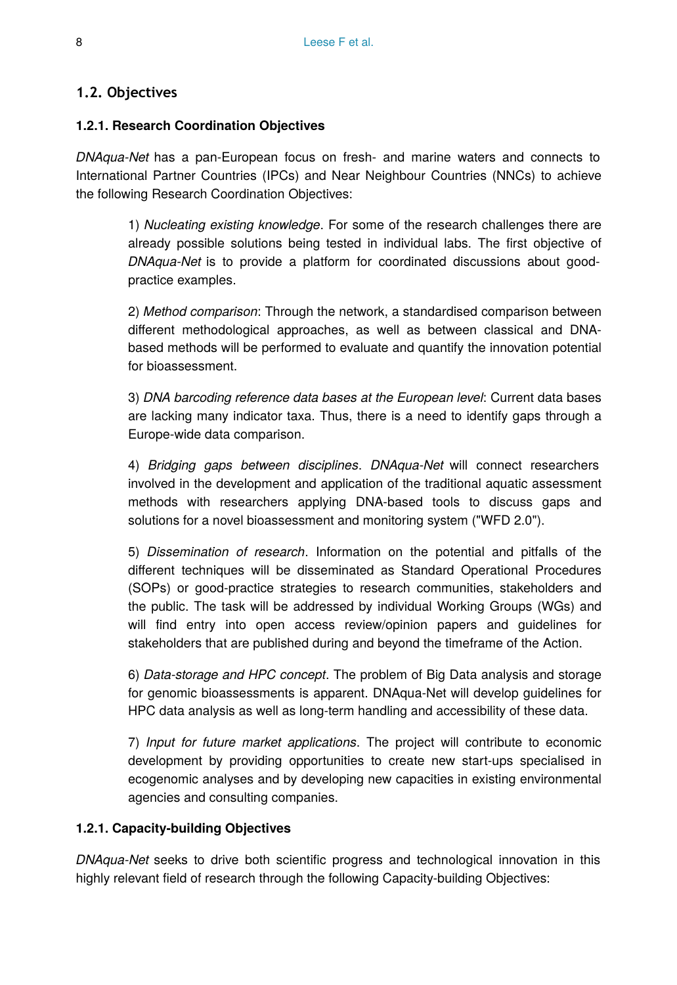## **1.2. Objectives**

#### **1.2.1. Research Coordination Objectives**

*DNAqua-Net* has a pan-European focus on fresh- and marine waters and connects to International Partner Countries (IPCs) and Near Neighbour Countries (NNCs) to achieve the following Research Coordination Objectives:

> 1) *Nucleating existing knowledge*. For some of the research challenges there are already possible solutions being tested in individual labs. The first objective of *DNAqua-Net* is to provide a platform for coordinated discussions about goodpractice examples.

> 2) *Method comparison*: Through the network, a standardised comparison between different methodological approaches, as well as between classical and DNAbased methods will be performed to evaluate and quantify the innovation potential for bioassessment.

> 3) *DNA barcoding reference data bases at the European level*: Current data bases are lacking many indicator taxa. Thus, there is a need to identify gaps through a Europe-wide data comparison.

> 4) *Bridging gaps between disciplines*. *DNAqua-Net* will connect researchers involved in the development and application of the traditional aquatic assessment methods with researchers applying DNA-based tools to discuss gaps and solutions for a novel bioassessment and monitoring system ("WFD 2.0").

> 5) *Dissemination of research*. Information on the potential and pitfalls of the different techniques will be disseminated as Standard Operational Procedures (SOPs) or good-practice strategies to research communities, stakeholders and the public. The task will be addressed by individual Working Groups (WGs) and will find entry into open access review/opinion papers and guidelines for stakeholders that are published during and beyond the timeframe of the Action.

> 6) *Data-storage and HPC concept*. The problem of Big Data analysis and storage for genomic bioassessments is apparent. DNAqua-Net will develop guidelines for HPC data analysis as well as long-term handling and accessibility of these data.

> 7) *Input for future market applications*. The project will contribute to economic development by providing opportunities to create new start-ups specialised in ecogenomic analyses and by developing new capacities in existing environmental agencies and consulting companies.

## **1.2.1. Capacity-building Objectives**

*DNAqua-Net* seeks to drive both scientific progress and technological innovation in this highly relevant field of research through the following Capacity-building Objectives: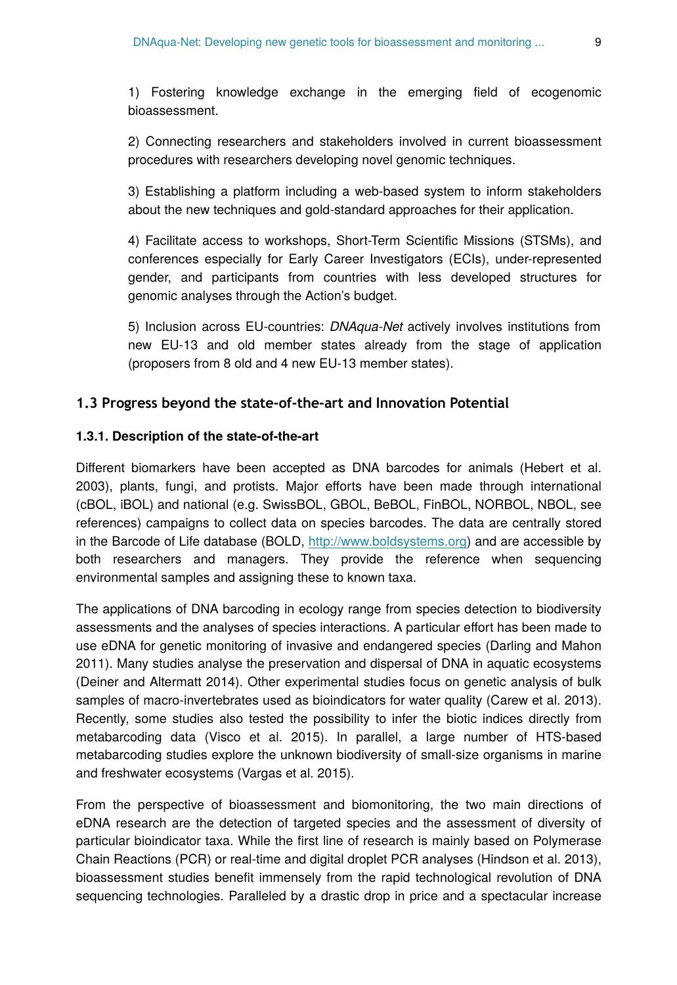1) Fostering knowledge exchange in the emerging field of ecogenomic bioassessment.

2) Connecting researchers and stakeholders involved in current bioassessment procedures with researchers developing novel genomic techniques.

3) Establishing a platform including a web-based system to inform stakeholders about the new techniques and gold-standard approaches for their application.

4) Facilitate access to workshops, Short-Term Scientific Missions (STSMs), and conferences especially for Early Career Investigators (ECIs), under-represented gender, and participants from countries with less developed structures for genomic analyses through the Action's budget.

5) Inclusion across EU-countries: *DNAqua-Net* actively involves institutions from new EU-13 and old member states already from the stage of application (proposers from 8 old and 4 new EU-13 member states).

#### **1.3 Progress beyond the state-of-the-art and Innovation Potential**

#### **1.3.1. Description of the state-of-the-art**

Different biomarkers have been accepted as DNA barcodes for animals (Hebert et al. 2003), plants, fungi, and protists. Major efforts have been made through international (cBOL, iBOL) and national (e.g. SwissBOL, GBOL, BeBOL, FinBOL, NORBOL, NBOL, see references) campaigns to collect data on species barcodes. The data are centrally stored in the Barcode of Life database (BOLD, [http://www.boldsystems.org](http://www.boldsystems.org/)) and are accessible by both researchers and managers. They provide the reference when sequencing environmental samples and assigning these to known taxa.

The applications of DNA barcoding in ecology range from species detection to biodiversity assessments and the analyses of species interactions. A particular effort has been made to use eDNA for genetic monitoring of invasive and endangered species (Darling and Mahon 2011). Many studies analyse the preservation and dispersal of DNA in aquatic ecosystems (Deiner and Altermatt 2014). Other experimental studies focus on genetic analysis of bulk samples of macro-invertebrates used as bioindicators for water quality (Carew et al. 2013). Recently, some studies also tested the possibility to infer the biotic indices directly from metabarcoding data (Visco et al. 2015). In parallel, a large number of HTS-based metabarcoding studies explore the unknown biodiversity of small-size organisms in marine and freshwater ecosystems (Vargas et al. 2015).

From the perspective of bioassessment and biomonitoring, the two main directions of eDNA research are the detection of targeted species and the assessment of diversity of particular bioindicator taxa. While the first line of research is mainly based on Polymerase Chain Reactions (PCR) or real-time and digital droplet PCR analyses (Hindson et al. 2013), bioassessment studies benefit immensely from the rapid technological revolution of DNA sequencing technologies. Paralleled by a drastic drop in price and a spectacular increase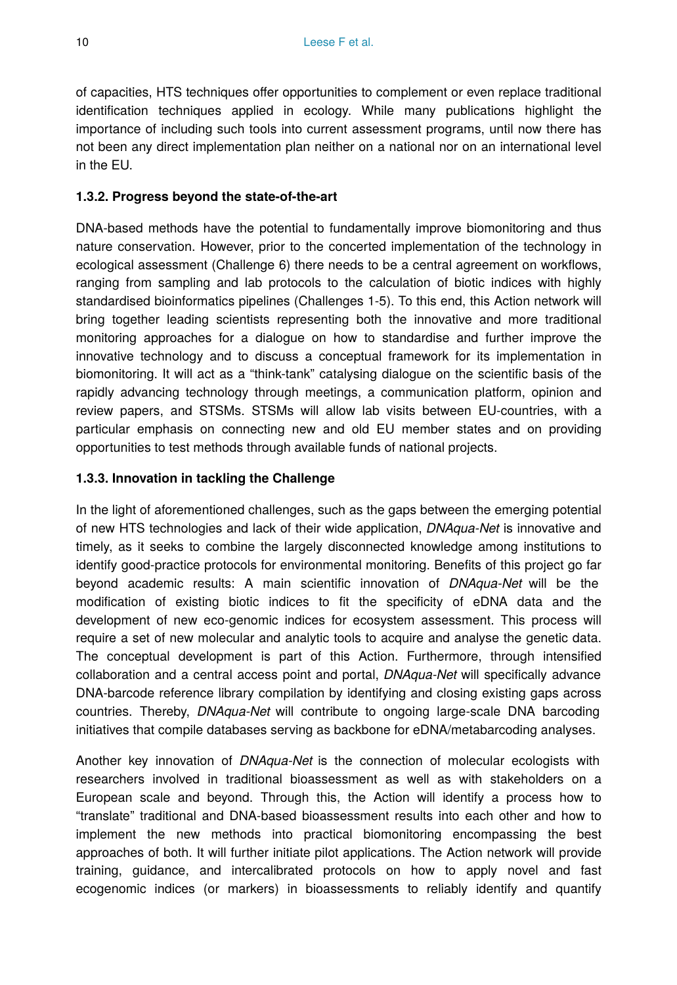of capacities, HTS techniques offer opportunities to complement or even replace traditional identification techniques applied in ecology. While many publications highlight the importance of including such tools into current assessment programs, until now there has not been any direct implementation plan neither on a national nor on an international level in the EU.

## **1.3.2. Progress beyond the state-of-the-art**

DNA-based methods have the potential to fundamentally improve biomonitoring and thus nature conservation. However, prior to the concerted implementation of the technology in ecological assessment (Challenge 6) there needs to be a central agreement on workflows, ranging from sampling and lab protocols to the calculation of biotic indices with highly standardised bioinformatics pipelines (Challenges 1-5). To this end, this Action network will bring together leading scientists representing both the innovative and more traditional monitoring approaches for a dialogue on how to standardise and further improve the innovative technology and to discuss a conceptual framework for its implementation in biomonitoring. It will act as a "think-tank" catalysing dialogue on the scientific basis of the rapidly advancing technology through meetings, a communication platform, opinion and review papers, and STSMs. STSMs will allow lab visits between EU-countries, with a particular emphasis on connecting new and old EU member states and on providing opportunities to test methods through available funds of national projects.

## **1.3.3. Innovation in tackling the Challenge**

In the light of aforementioned challenges, such as the gaps between the emerging potential of new HTS technologies and lack of their wide application, *DNAqua-Net* is innovative and timely, as it seeks to combine the largely disconnected knowledge among institutions to identify good-practice protocols for environmental monitoring. Benefits of this project go far beyond academic results: A main scientific innovation of *DNAqua-Net* will be the modification of existing biotic indices to fit the specificity of eDNA data and the development of new eco-genomic indices for ecosystem assessment. This process will require a set of new molecular and analytic tools to acquire and analyse the genetic data. The conceptual development is part of this Action. Furthermore, through intensified collaboration and a central access point and portal, *DNAqua-Net* will specifically advance DNA-barcode reference library compilation by identifying and closing existing gaps across countries. Thereby, *DNAqua-Net* will contribute to ongoing large-scale DNA barcoding initiatives that compile databases serving as backbone for eDNA/metabarcoding analyses.

Another key innovation of *DNAqua-Net* is the connection of molecular ecologists with researchers involved in traditional bioassessment as well as with stakeholders on a European scale and beyond. Through this, the Action will identify a process how to "translate" traditional and DNA-based bioassessment results into each other and how to implement the new methods into practical biomonitoring encompassing the best approaches of both. It will further initiate pilot applications. The Action network will provide training, guidance, and intercalibrated protocols on how to apply novel and fast ecogenomic indices (or markers) in bioassessments to reliably identify and quantify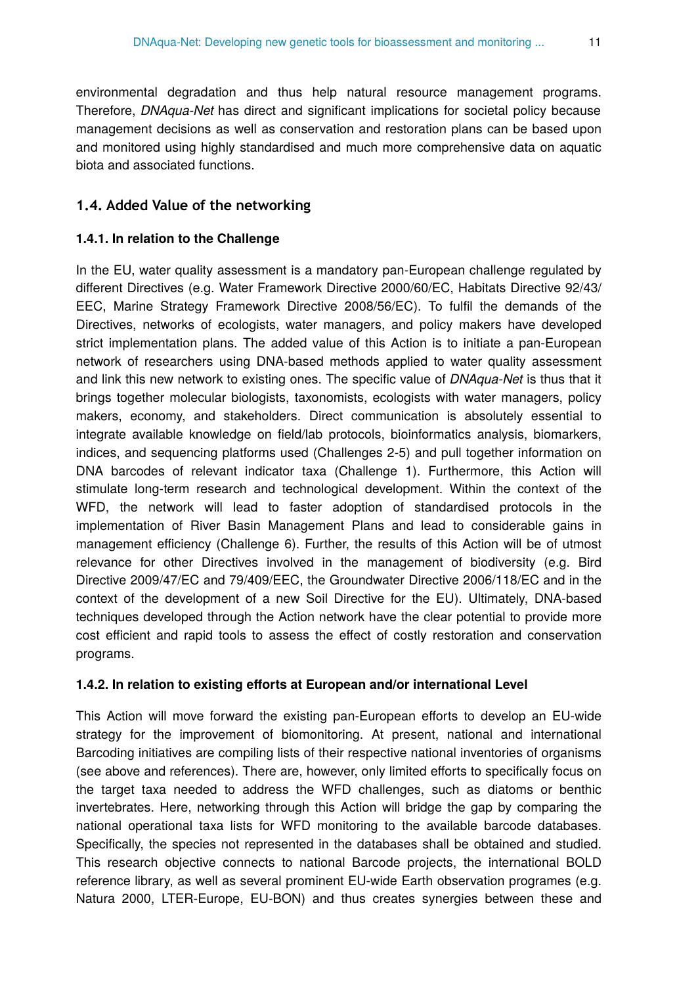environmental degradation and thus help natural resource management programs. Therefore, *DNAqua-Net* has direct and significant implications for societal policy because management decisions as well as conservation and restoration plans can be based upon and monitored using highly standardised and much more comprehensive data on aquatic biota and associated functions.

## **1.4. Added Value of the networking**

#### **1.4.1. In relation to the Challenge**

In the EU, water quality assessment is a mandatory pan-European challenge regulated by different Directives (e.g. Water Framework Directive 2000/60/EC, Habitats Directive 92/43/ EEC, Marine Strategy Framework Directive 2008/56/EC). To fulfil the demands of the Directives, networks of ecologists, water managers, and policy makers have developed strict implementation plans. The added value of this Action is to initiate a pan-European network of researchers using DNA-based methods applied to water quality assessment and link this new network to existing ones. The specific value of *DNAqua-Net* is thus that it brings together molecular biologists, taxonomists, ecologists with water managers, policy makers, economy, and stakeholders. Direct communication is absolutely essential to integrate available knowledge on field/lab protocols, bioinformatics analysis, biomarkers, indices, and sequencing platforms used (Challenges 2-5) and pull together information on DNA barcodes of relevant indicator taxa (Challenge 1). Furthermore, this Action will stimulate long-term research and technological development. Within the context of the WFD, the network will lead to faster adoption of standardised protocols in the implementation of River Basin Management Plans and lead to considerable gains in management efficiency (Challenge 6). Further, the results of this Action will be of utmost relevance for other Directives involved in the management of biodiversity (e.g. Bird Directive 2009/47/EC and 79/409/EEC, the Groundwater Directive 2006/118/EC and in the context of the development of a new Soil Directive for the EU). Ultimately, DNA-based techniques developed through the Action network have the clear potential to provide more cost efficient and rapid tools to assess the effect of costly restoration and conservation programs.

#### **1.4.2. In relation to existing efforts at European and/or international Level**

This Action will move forward the existing pan-European efforts to develop an EU-wide strategy for the improvement of biomonitoring. At present, national and international Barcoding initiatives are compiling lists of their respective national inventories of organisms (see above and references). There are, however, only limited efforts to specifically focus on the target taxa needed to address the WFD challenges, such as diatoms or benthic invertebrates. Here, networking through this Action will bridge the gap by comparing the national operational taxa lists for WFD monitoring to the available barcode databases. Specifically, the species not represented in the databases shall be obtained and studied. This research objective connects to national Barcode projects, the international BOLD reference library, as well as several prominent EU-wide Earth observation programes (e.g. Natura 2000, LTER-Europe, EU-BON) and thus creates synergies between these and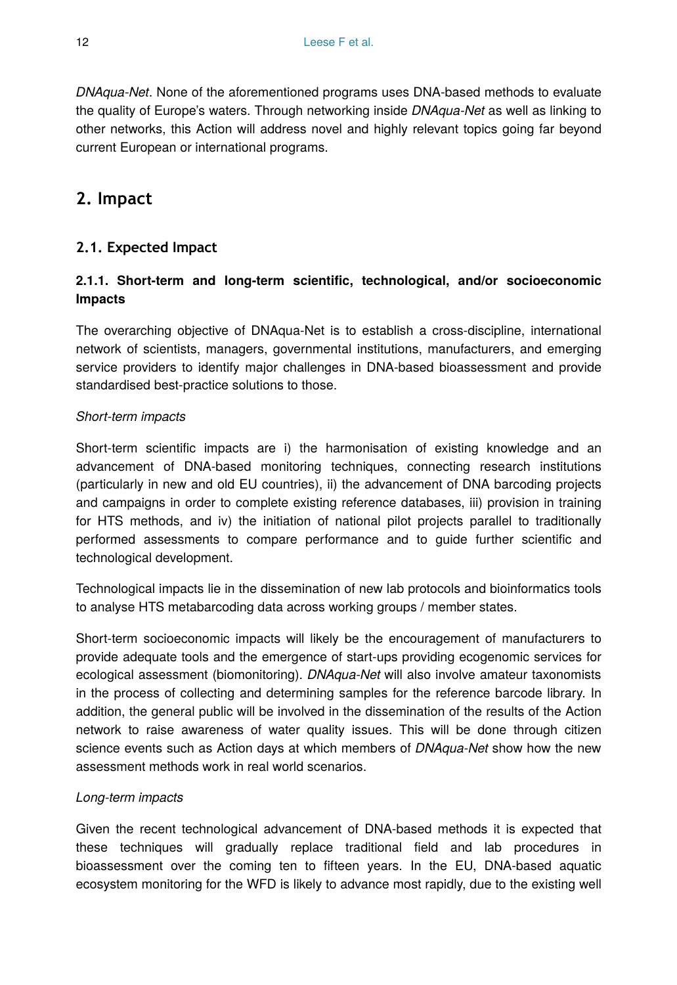*DNAqua-Net*. None of the aforementioned programs uses DNA-based methods to evaluate the quality of Europe's waters. Through networking inside *DNAqua-Net* as well as linking to other networks, this Action will address novel and highly relevant topics going far beyond current European or international programs.

# **2. Impact**

## **2.1. Expected Impact**

## **2.1.1. Short-term and long-term scientific, technological, and/or socioeconomic Impacts**

The overarching objective of DNAqua-Net is to establish a cross-discipline, international network of scientists, managers, governmental institutions, manufacturers, and emerging service providers to identify major challenges in DNA-based bioassessment and provide standardised best-practice solutions to those.

## *Short-term impacts*

Short-term scientific impacts are i) the harmonisation of existing knowledge and an advancement of DNA-based monitoring techniques, connecting research institutions (particularly in new and old EU countries), ii) the advancement of DNA barcoding projects and campaigns in order to complete existing reference databases, iii) provision in training for HTS methods, and iv) the initiation of national pilot projects parallel to traditionally performed assessments to compare performance and to guide further scientific and technological development.

Technological impacts lie in the dissemination of new lab protocols and bioinformatics tools to analyse HTS metabarcoding data across working groups / member states.

Short-term socioeconomic impacts will likely be the encouragement of manufacturers to provide adequate tools and the emergence of start-ups providing ecogenomic services for ecological assessment (biomonitoring). *DNAqua-Net* will also involve amateur taxonomists in the process of collecting and determining samples for the reference barcode library. In addition, the general public will be involved in the dissemination of the results of the Action network to raise awareness of water quality issues. This will be done through citizen science events such as Action days at which members of *DNAqua-Net* show how the new assessment methods work in real world scenarios.

## *Long-term impacts*

Given the recent technological advancement of DNA-based methods it is expected that these techniques will gradually replace traditional field and lab procedures in bioassessment over the coming ten to fifteen years. In the EU, DNA-based aquatic ecosystem monitoring for the WFD is likely to advance most rapidly, due to the existing well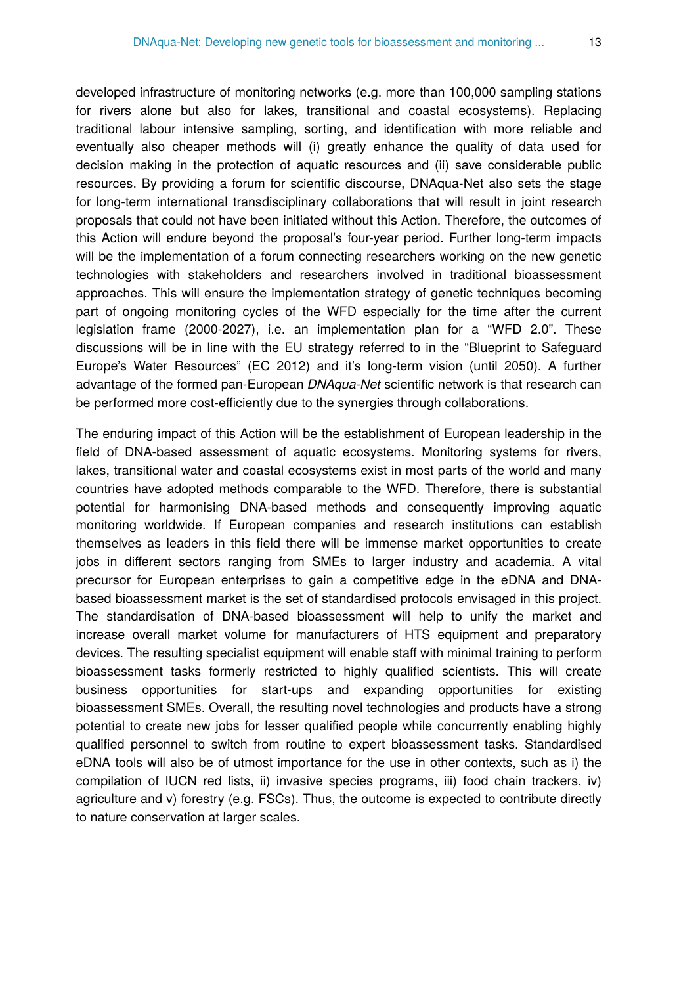developed infrastructure of monitoring networks (e.g. more than 100,000 sampling stations for rivers alone but also for lakes, transitional and coastal ecosystems). Replacing traditional labour intensive sampling, sorting, and identification with more reliable and eventually also cheaper methods will (i) greatly enhance the quality of data used for decision making in the protection of aquatic resources and (ii) save considerable public resources. By providing a forum for scientific discourse, DNAqua-Net also sets the stage for long-term international transdisciplinary collaborations that will result in joint research proposals that could not have been initiated without this Action. Therefore, the outcomes of this Action will endure beyond the proposal's four-year period. Further long-term impacts will be the implementation of a forum connecting researchers working on the new genetic technologies with stakeholders and researchers involved in traditional bioassessment approaches. This will ensure the implementation strategy of genetic techniques becoming part of ongoing monitoring cycles of the WFD especially for the time after the current legislation frame (2000-2027), i.e. an implementation plan for a "WFD 2.0". These discussions will be in line with the EU strategy referred to in the "Blueprint to Safeguard Europe's Water Resources" (EC 2012) and it's long-term vision (until 2050). A further advantage of the formed pan-European *DNAqua-Net* scientific network is that research can be performed more cost-efficiently due to the synergies through collaborations.

The enduring impact of this Action will be the establishment of European leadership in the field of DNA-based assessment of aquatic ecosystems. Monitoring systems for rivers, lakes, transitional water and coastal ecosystems exist in most parts of the world and many countries have adopted methods comparable to the WFD. Therefore, there is substantial potential for harmonising DNA-based methods and consequently improving aquatic monitoring worldwide. If European companies and research institutions can establish themselves as leaders in this field there will be immense market opportunities to create jobs in different sectors ranging from SMEs to larger industry and academia. A vital precursor for European enterprises to gain a competitive edge in the eDNA and DNAbased bioassessment market is the set of standardised protocols envisaged in this project. The standardisation of DNA-based bioassessment will help to unify the market and increase overall market volume for manufacturers of HTS equipment and preparatory devices. The resulting specialist equipment will enable staff with minimal training to perform bioassessment tasks formerly restricted to highly qualified scientists. This will create business opportunities for start-ups and expanding opportunities for existing bioassessment SMEs. Overall, the resulting novel technologies and products have a strong potential to create new jobs for lesser qualified people while concurrently enabling highly qualified personnel to switch from routine to expert bioassessment tasks. Standardised eDNA tools will also be of utmost importance for the use in other contexts, such as i) the compilation of IUCN red lists, ii) invasive species programs, iii) food chain trackers, iv) agriculture and v) forestry (e.g. FSCs). Thus, the outcome is expected to contribute directly to nature conservation at larger scales.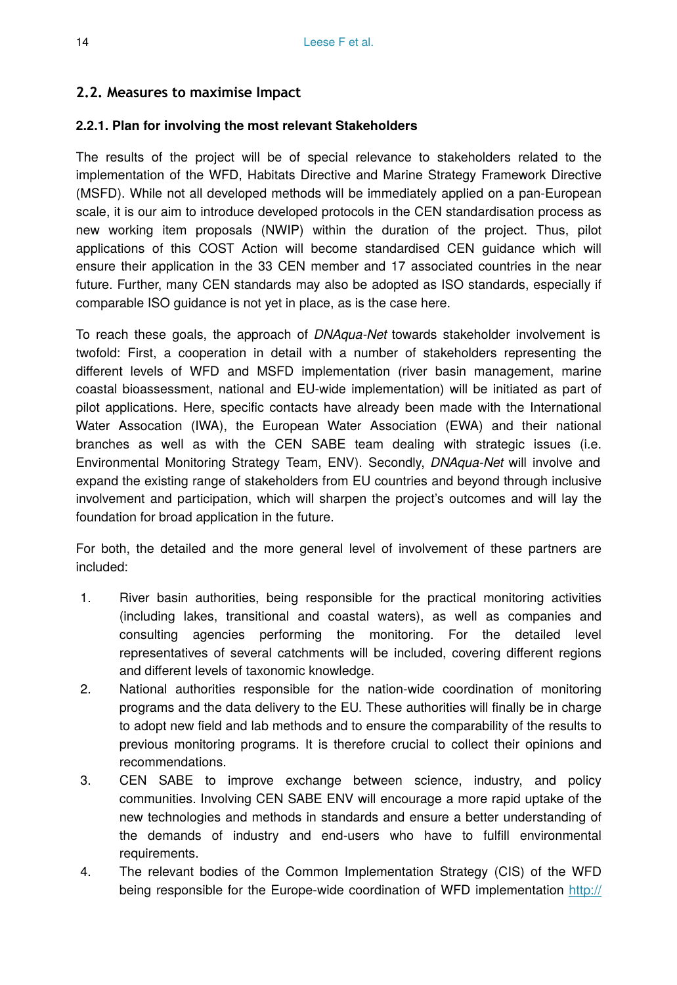## **2.2. Measures to maximise Impact**

## **2.2.1. Plan for involving the most relevant Stakeholders**

The results of the project will be of special relevance to stakeholders related to the implementation of the WFD, Habitats Directive and Marine Strategy Framework Directive (MSFD). While not all developed methods will be immediately applied on a pan-European scale, it is our aim to introduce developed protocols in the CEN standardisation process as new working item proposals (NWIP) within the duration of the project. Thus, pilot applications of this COST Action will become standardised CEN guidance which will ensure their application in the 33 CEN member and 17 associated countries in the near future. Further, many CEN standards may also be adopted as ISO standards, especially if comparable ISO guidance is not yet in place, as is the case here.

To reach these goals, the approach of *DNAqua-Net* towards stakeholder involvement is twofold: First, a cooperation in detail with a number of stakeholders representing the different levels of WFD and MSFD implementation (river basin management, marine coastal bioassessment, national and EU-wide implementation) will be initiated as part of pilot applications. Here, specific contacts have already been made with the International Water Assocation (IWA), the European Water Association (EWA) and their national branches as well as with the CEN SABE team dealing with strategic issues (i.e. Environmental Monitoring Strategy Team, ENV). Secondly, *DNAqua-Net* will involve and expand the existing range of stakeholders from EU countries and beyond through inclusive involvement and participation, which will sharpen the project's outcomes and will lay the foundation for broad application in the future.

For both, the detailed and the more general level of involvement of these partners are included:

- 1. River basin authorities, being responsible for the practical monitoring activities (including lakes, transitional and coastal waters), as well as companies and consulting agencies performing the monitoring. For the detailed level representatives of several catchments will be included, covering different regions and different levels of taxonomic knowledge.
- 2. National authorities responsible for the nation-wide coordination of monitoring programs and the data delivery to the EU. These authorities will finally be in charge to adopt new field and lab methods and to ensure the comparability of the results to previous monitoring programs. It is therefore crucial to collect their opinions and recommendations.
- 3. CEN SABE to improve exchange between science, industry, and policy communities. Involving CEN SABE ENV will encourage a more rapid uptake of the new technologies and methods in standards and ensure a better understanding of the demands of industry and end-users who have to fulfill environmental requirements.
- 4. The relevant bodies of the Common Implementation Strategy (CIS) of the WFD being responsible for the Europe-wide coordination of WFD implementation [http://](http://ec.europa.eu/environment/water/water-framework/objectives/implementation_en.htm)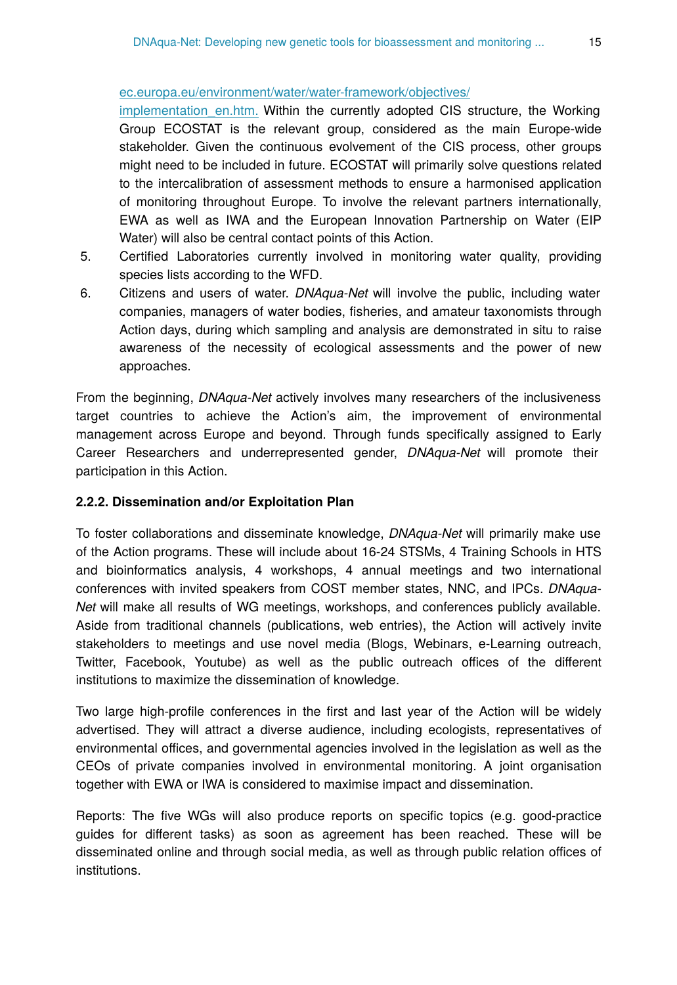#### [ec.europa.eu/environment/water/water-framework/objectives/](http://ec.europa.eu/environment/water/water-framework/objectives/implementation_en.htm)

implementation en.htm. Within the currently adopted CIS structure, the Working Group ECOSTAT is the relevant group, considered as the main Europe-wide stakeholder. Given the continuous evolvement of the CIS process, other groups might need to be included in future. ECOSTAT will primarily solve questions related to the intercalibration of assessment methods to ensure a harmonised application of monitoring throughout Europe. To involve the relevant partners internationally, EWA as well as IWA and the European Innovation Partnership on Water (EIP Water) will also be central contact points of this Action.

- 5. Certified Laboratories currently involved in monitoring water quality, providing species lists according to the WFD.
- 6. Citizens and users of water. *DNAqua-Net* will involve the public, including water companies, managers of water bodies, fisheries, and amateur taxonomists through Action days, during which sampling and analysis are demonstrated in situ to raise awareness of the necessity of ecological assessments and the power of new approaches.

From the beginning, *DNAqua-Net* actively involves many researchers of the inclusiveness target countries to achieve the Action's aim, the improvement of environmental management across Europe and beyond. Through funds specifically assigned to Early Career Researchers and underrepresented gender, *DNAqua-Net* will promote their participation in this Action.

#### **2.2.2. Dissemination and/or Exploitation Plan**

To foster collaborations and disseminate knowledge, *DNAqua-Net* will primarily make use of the Action programs. These will include about 16-24 STSMs, 4 Training Schools in HTS and bioinformatics analysis, 4 workshops, 4 annual meetings and two international conferences with invited speakers from COST member states, NNC, and IPCs. *DNAqua-Net* will make all results of WG meetings, workshops, and conferences publicly available. Aside from traditional channels (publications, web entries), the Action will actively invite stakeholders to meetings and use novel media (Blogs, Webinars, e-Learning outreach, Twitter, Facebook, Youtube) as well as the public outreach offices of the different institutions to maximize the dissemination of knowledge.

Two large high-profile conferences in the first and last year of the Action will be widely advertised. They will attract a diverse audience, including ecologists, representatives of environmental offices, and governmental agencies involved in the legislation as well as the CEOs of private companies involved in environmental monitoring. A joint organisation together with EWA or IWA is considered to maximise impact and dissemination.

Reports: The five WGs will also produce reports on specific topics (e.g. good-practice guides for different tasks) as soon as agreement has been reached. These will be disseminated online and through social media, as well as through public relation offices of institutions.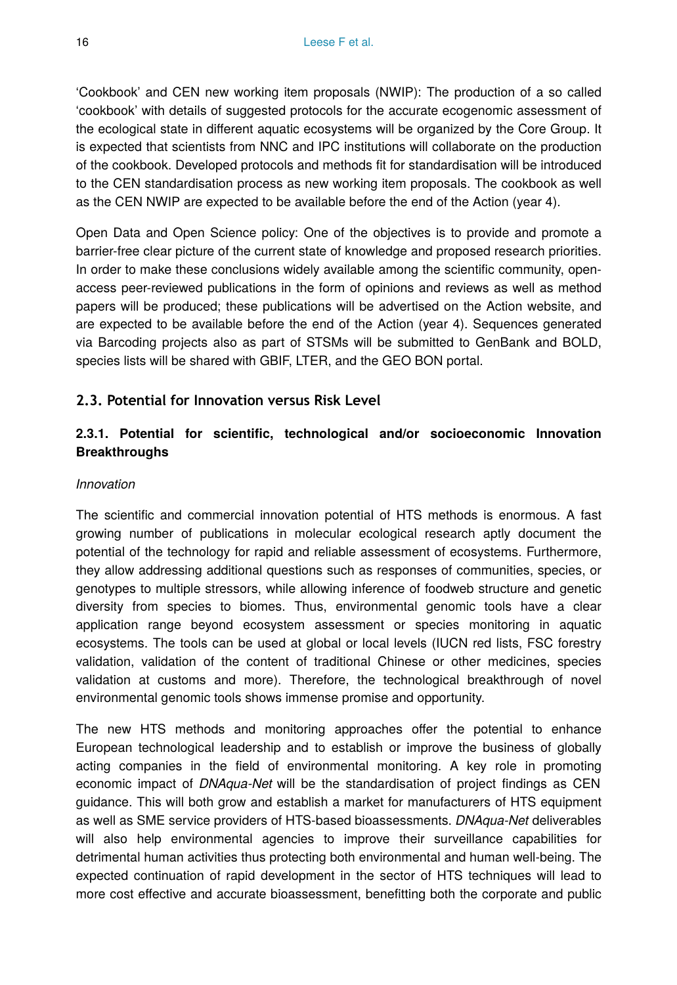'Cookbook' and CEN new working item proposals (NWIP): The production of a so called 'cookbook' with details of suggested protocols for the accurate ecogenomic assessment of the ecological state in different aquatic ecosystems will be organized by the Core Group. It is expected that scientists from NNC and IPC institutions will collaborate on the production of the cookbook. Developed protocols and methods fit for standardisation will be introduced to the CEN standardisation process as new working item proposals. The cookbook as well as the CEN NWIP are expected to be available before the end of the Action (year 4).

Open Data and Open Science policy: One of the objectives is to provide and promote a barrier-free clear picture of the current state of knowledge and proposed research priorities. In order to make these conclusions widely available among the scientific community, openaccess peer-reviewed publications in the form of opinions and reviews as well as method papers will be produced; these publications will be advertised on the Action website, and are expected to be available before the end of the Action (year 4). Sequences generated via Barcoding projects also as part of STSMs will be submitted to GenBank and BOLD, species lists will be shared with GBIF, LTER, and the GEO BON portal.

## **2.3. Potential for Innovation versus Risk Level**

## **2.3.1. Potential for scientific, technological and/or socioeconomic Innovation Breakthroughs**

#### *Innovation*

The scientific and commercial innovation potential of HTS methods is enormous. A fast growing number of publications in molecular ecological research aptly document the potential of the technology for rapid and reliable assessment of ecosystems. Furthermore, they allow addressing additional questions such as responses of communities, species, or genotypes to multiple stressors, while allowing inference of foodweb structure and genetic diversity from species to biomes. Thus, environmental genomic tools have a clear application range beyond ecosystem assessment or species monitoring in aquatic ecosystems. The tools can be used at global or local levels (IUCN red lists, FSC forestry validation, validation of the content of traditional Chinese or other medicines, species validation at customs and more). Therefore, the technological breakthrough of novel environmental genomic tools shows immense promise and opportunity.

The new HTS methods and monitoring approaches offer the potential to enhance European technological leadership and to establish or improve the business of globally acting companies in the field of environmental monitoring. A key role in promoting economic impact of *DNAqua-Net* will be the standardisation of project findings as CEN guidance. This will both grow and establish a market for manufacturers of HTS equipment as well as SME service providers of HTS-based bioassessments. *DNAqua-Net* deliverables will also help environmental agencies to improve their surveillance capabilities for detrimental human activities thus protecting both environmental and human well-being. The expected continuation of rapid development in the sector of HTS techniques will lead to more cost effective and accurate bioassessment, benefitting both the corporate and public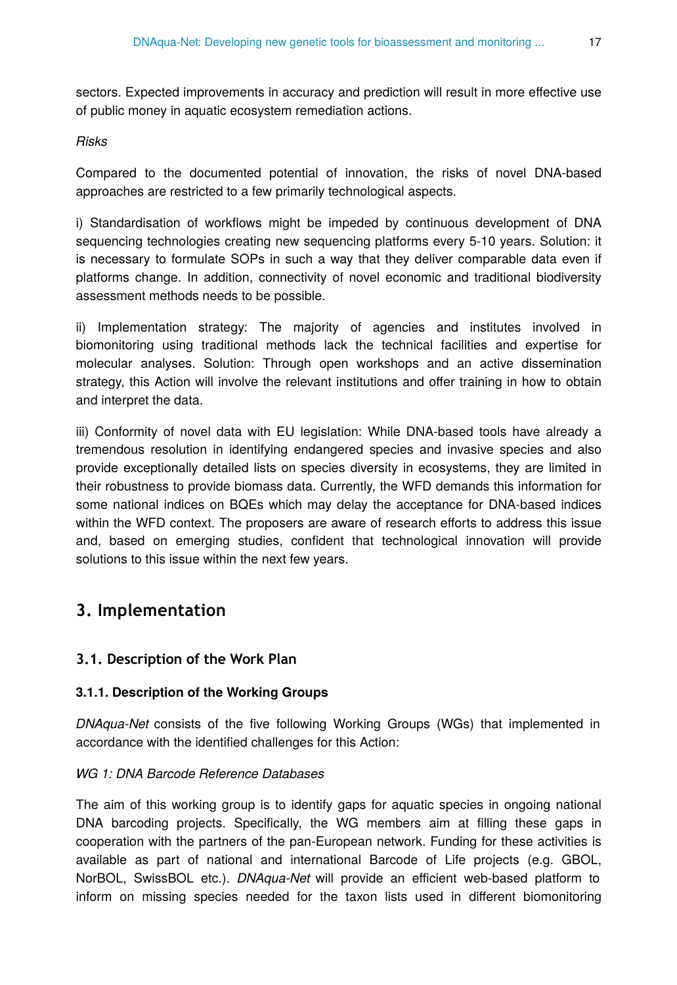sectors. Expected improvements in accuracy and prediction will result in more effective use of public money in aquatic ecosystem remediation actions.

#### *Risks*

Compared to the documented potential of innovation, the risks of novel DNA-based approaches are restricted to a few primarily technological aspects.

i) Standardisation of workflows might be impeded by continuous development of DNA sequencing technologies creating new sequencing platforms every 5-10 years. Solution: it is necessary to formulate SOPs in such a way that they deliver comparable data even if platforms change. In addition, connectivity of novel economic and traditional biodiversity assessment methods needs to be possible.

ii) Implementation strategy: The majority of agencies and institutes involved in biomonitoring using traditional methods lack the technical facilities and expertise for molecular analyses. Solution: Through open workshops and an active dissemination strategy, this Action will involve the relevant institutions and offer training in how to obtain and interpret the data.

iii) Conformity of novel data with EU legislation: While DNA-based tools have already a tremendous resolution in identifying endangered species and invasive species and also provide exceptionally detailed lists on species diversity in ecosystems, they are limited in their robustness to provide biomass data. Currently, the WFD demands this information for some national indices on BQEs which may delay the acceptance for DNA-based indices within the WFD context. The proposers are aware of research efforts to address this issue and, based on emerging studies, confident that technological innovation will provide solutions to this issue within the next few years.

# **3. Im plementation**

## **3.1. Description of the Work Plan**

#### **3.1.1. Description of the Working Groups**

*DNAqua-Net* consists of the five following Working Groups (WGs) that implemented in accordance with the identified challenges for this Action:

## *WG 1: DNA Barcode Reference Databases*

The aim of this working group is to identify gaps for aquatic species in ongoing national DNA barcoding projects. Specifically, the WG members aim at filling these gaps in cooperation with the partners of the pan-European network. Funding for these activities is available as part of national and international Barcode of Life projects (e.g. GBOL, NorBOL, SwissBOL etc.). *DNAqua-Net* will provide an efficient web-based platform to inform on missing species needed for the taxon lists used in different biomonitoring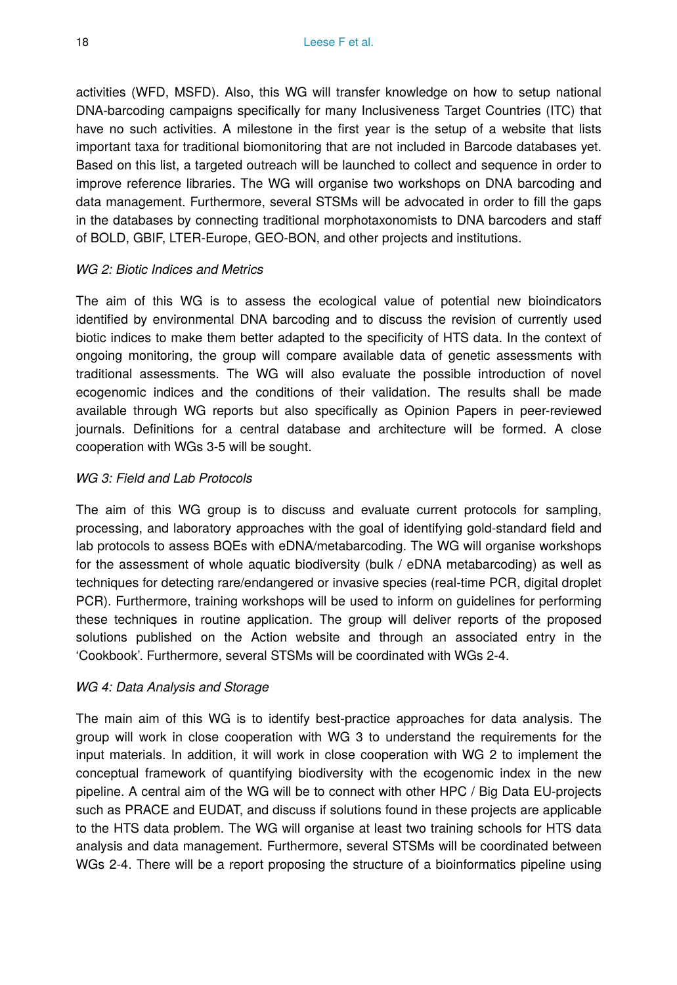activities (WFD, MSFD). Also, this WG will transfer knowledge on how to setup national DNA-barcoding campaigns specifically for many Inclusiveness Target Countries (ITC) that have no such activities. A milestone in the first year is the setup of a website that lists important taxa for traditional biomonitoring that are not included in Barcode databases yet. Based on this list, a targeted outreach will be launched to collect and sequence in order to improve reference libraries. The WG will organise two workshops on DNA barcoding and data management. Furthermore, several STSMs will be advocated in order to fill the gaps in the databases by connecting traditional morphotaxonomists to DNA barcoders and staff of BOLD, GBIF, LTER-Europe, GEO-BON, and other projects and institutions.

#### *WG 2: Biotic Indices and Metrics*

The aim of this WG is to assess the ecological value of potential new bioindicators identified by environmental DNA barcoding and to discuss the revision of currently used biotic indices to make them better adapted to the specificity of HTS data. In the context of ongoing monitoring, the group will compare available data of genetic assessments with traditional assessments. The WG will also evaluate the possible introduction of novel ecogenomic indices and the conditions of their validation. The results shall be made available through WG reports but also specifically as Opinion Papers in peer-reviewed journals. Definitions for a central database and architecture will be formed. A close cooperation with WGs 3-5 will be sought.

#### *WG 3: Field and Lab Protocols*

The aim of this WG group is to discuss and evaluate current protocols for sampling, processing, and laboratory approaches with the goal of identifying gold-standard field and lab protocols to assess BQEs with eDNA/metabarcoding. The WG will organise workshops for the assessment of whole aquatic biodiversity (bulk / eDNA metabarcoding) as well as techniques for detecting rare/endangered or invasive species (real-time PCR, digital droplet PCR). Furthermore, training workshops will be used to inform on guidelines for performing these techniques in routine application. The group will deliver reports of the proposed solutions published on the Action website and through an associated entry in the 'Cookbook'. Furthermore, several STSMs will be coordinated with WGs 2-4.

#### *WG 4: Data Analysis and Storage*

The main aim of this WG is to identify best-practice approaches for data analysis. The group will work in close cooperation with WG 3 to understand the requirements for the input materials. In addition, it will work in close cooperation with WG 2 to implement the conceptual framework of quantifying biodiversity with the ecogenomic index in the new pipeline. A central aim of the WG will be to connect with other HPC / Big Data EU-projects such as PRACE and EUDAT, and discuss if solutions found in these projects are applicable to the HTS data problem. The WG will organise at least two training schools for HTS data analysis and data management. Furthermore, several STSMs will be coordinated between WGs 2-4. There will be a report proposing the structure of a bioinformatics pipeline using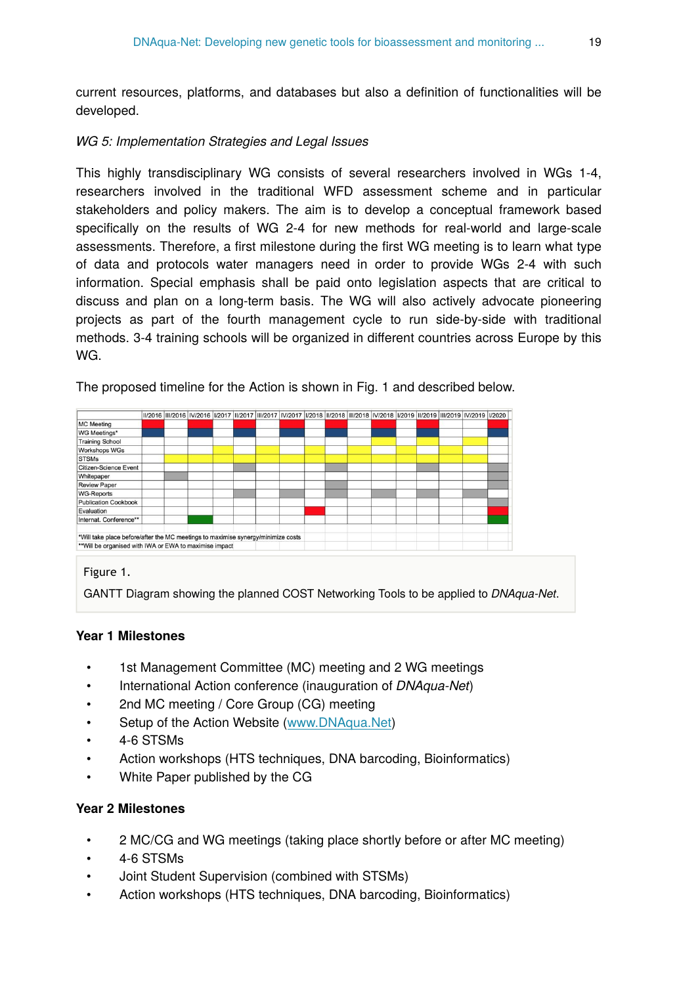current resources, platforms, and databases but also a definition of functionalities will be developed.

#### *WG 5: Implementation Strategies and Legal Issues*

This highly transdisciplinary WG consists of several researchers involved in WGs 1-4, researchers involved in the traditional WFD assessment scheme and in particular stakeholders and policy makers. The aim is to develop a conceptual framework based specifically on the results of WG 2-4 for new methods for real-world and large-scale assessments. Therefore, a first milestone during the first WG meeting is to learn what type of data and protocols water managers need in order to provide WGs 2-4 with such information. Special emphasis shall be paid onto legislation aspects that are critical to discuss and plan on a long-term basis. The WG will also actively advocate pioneering projects as part of the fourth management cycle to run side-by-side with traditional methods. 3-4 training schools will be organized in different countries across Europe by this WG.

| The proposed timeline for the Action is shown in Fig. 1 and described below. |  |
|------------------------------------------------------------------------------|--|
|                                                                              |  |

|                                                                                  |  |  |  |  |  |  |  | 11/2016  111/2016  1V/2016  1/2017  11/2017  111/2017  1V/2017  1/2018  11/2018  111/2018  1V/2018  1/2019  11/2019  11/2019  1V/2019  1/2020 |  |
|----------------------------------------------------------------------------------|--|--|--|--|--|--|--|-----------------------------------------------------------------------------------------------------------------------------------------------|--|
| <b>MC</b> Meeting                                                                |  |  |  |  |  |  |  |                                                                                                                                               |  |
| WG Meetings*                                                                     |  |  |  |  |  |  |  |                                                                                                                                               |  |
| <b>Training School</b>                                                           |  |  |  |  |  |  |  |                                                                                                                                               |  |
| <b>Workshops WGs</b>                                                             |  |  |  |  |  |  |  |                                                                                                                                               |  |
| <b>STSMs</b>                                                                     |  |  |  |  |  |  |  |                                                                                                                                               |  |
| Citizen-Science Event                                                            |  |  |  |  |  |  |  |                                                                                                                                               |  |
| Whitepaper                                                                       |  |  |  |  |  |  |  |                                                                                                                                               |  |
| <b>Review Paper</b>                                                              |  |  |  |  |  |  |  |                                                                                                                                               |  |
| <b>WG-Reports</b>                                                                |  |  |  |  |  |  |  |                                                                                                                                               |  |
| Publication Cookbook                                                             |  |  |  |  |  |  |  |                                                                                                                                               |  |
| Evaluation                                                                       |  |  |  |  |  |  |  |                                                                                                                                               |  |
| Internat. Conference**                                                           |  |  |  |  |  |  |  |                                                                                                                                               |  |
| *Will take place before/after the MC meetings to maximise synergy/minimize costs |  |  |  |  |  |  |  |                                                                                                                                               |  |
| ** Will be organised with IWA or EWA to maximise impact                          |  |  |  |  |  |  |  |                                                                                                                                               |  |

#### Figure 1.

GANTT Diagram showing the planned COST Networking Tools to be applied to *DNAqua-Net*.

#### **Year 1 Milestones**

- 1st Management Committee (MC) meeting and 2 WG meetings
- International Action conference (inauguration of *DNAqua-Net*)
- 2nd MC meeting / Core Group (CG) meeting
- Setup of the Action Website [\(www.DNAqua.Net](http://www.DNAqua.Net))
- 4-6 STSMs
- Action workshops (HTS techniques, DNA barcoding, Bioinformatics)
- White Paper published by the CG

#### **Year 2 Milestones**

- 2 MC/CG and WG meetings (taking place shortly before or after MC meeting)
- 4-6 STSMs
- Joint Student Supervision (combined with STSMs)
- Action workshops (HTS techniques, DNA barcoding, Bioinformatics)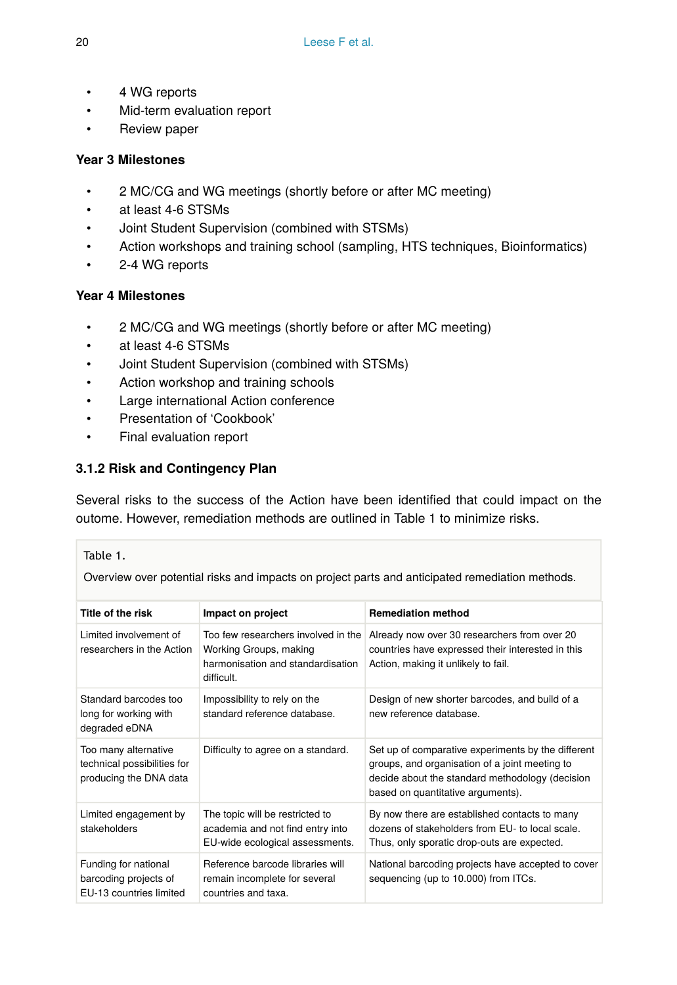- 4 WG reports
- Mid-term evaluation report
- Review paper

## **Year 3 Milestones**

- 2 MC/CG and WG meetings (shortly before or after MC meeting)
- at least 4-6 STSMs
- Joint Student Supervision (combined with STSMs)
- Action workshops and training school (sampling, HTS techniques, Bioinformatics)
- 2-4 WG reports

## **Year 4 Milestones**

- 2 MC/CG and WG meetings (shortly before or after MC meeting)
- at least 4-6 STSMs
- Joint Student Supervision (combined with STSMs)
- Action workshop and training schools
- Large international Action conference
- Presentation of 'Cookbook'
- Final evaluation report

## **3.1.2 Risk and Contingency Plan**

Several risks to the success of the Action have been identified that could impact on the outome. However, remediation methods are outlined in Table 1 to minimize risks.

## Table 1.

Overview over potential risks and impacts on project parts and anticipated remediation methods.

| Title of the risk                                                             | Impact on project                                                                                                | <b>Remediation method</b>                                                                                                                                                                    |
|-------------------------------------------------------------------------------|------------------------------------------------------------------------------------------------------------------|----------------------------------------------------------------------------------------------------------------------------------------------------------------------------------------------|
| Limited involvement of<br>researchers in the Action                           | Too few researchers involved in the<br>Working Groups, making<br>harmonisation and standardisation<br>difficult. | Already now over 30 researchers from over 20<br>countries have expressed their interested in this<br>Action, making it unlikely to fail.                                                     |
| Standard barcodes too<br>long for working with<br>degraded eDNA               | Impossibility to rely on the<br>standard reference database.                                                     | Design of new shorter barcodes, and build of a<br>new reference database                                                                                                                     |
| Too many alternative<br>technical possibilities for<br>producing the DNA data | Difficulty to agree on a standard.                                                                               | Set up of comparative experiments by the different<br>groups, and organisation of a joint meeting to<br>decide about the standard methodology (decision<br>based on quantitative arguments). |
| Limited engagement by<br>stakeholders                                         | The topic will be restricted to<br>academia and not find entry into<br>EU-wide ecological assessments.           | By now there are established contacts to many<br>dozens of stakeholders from EU- to local scale.<br>Thus, only sporatic drop-outs are expected.                                              |
| Funding for national<br>barcoding projects of<br>EU-13 countries limited      | Reference barcode libraries will<br>remain incomplete for several<br>countries and taxa.                         | National barcoding projects have accepted to cover<br>sequencing (up to 10.000) from ITCs.                                                                                                   |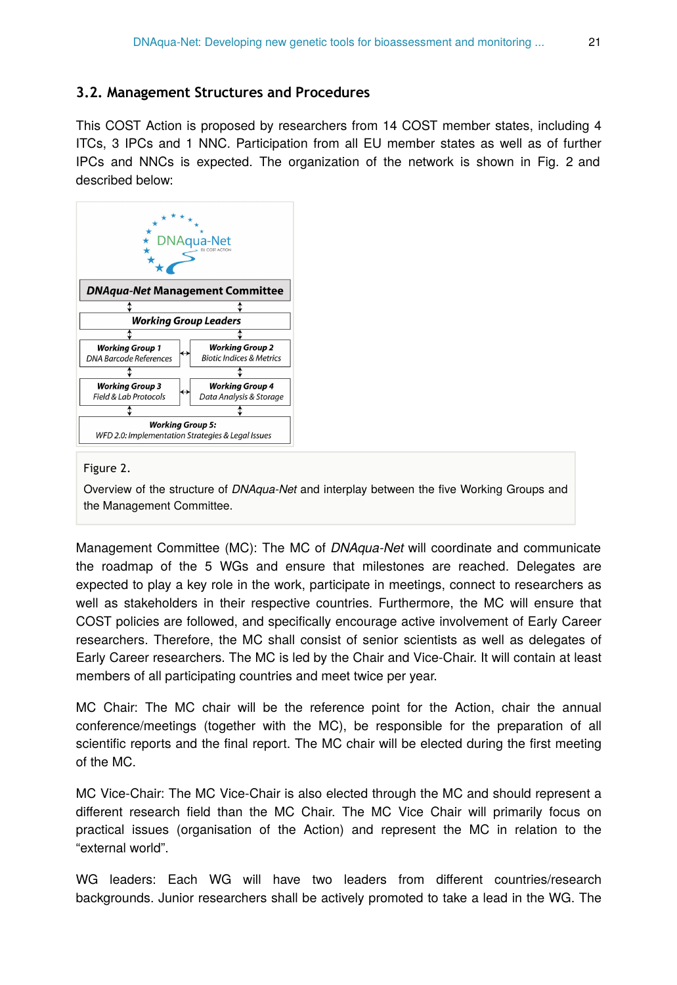## **3.2. Management Structures and Procedures**

This COST Action is proposed by researchers from 14 COST member states, including 4 ITCs, 3 IPCs and 1 NNC. Participation from all EU member states as well as of further IPCs and NNCs is expected. The organization of the network is shown in Fig. 2 and described below:



#### Figure 2.

Overview of the structure of *DNAqua-Net* and interplay between the five Working Groups and the Management Committee.

Management Committee (MC): The MC of *DNAqua-Net* will coordinate and communicate the roadmap of the 5 WGs and ensure that milestones are reached. Delegates are expected to play a key role in the work, participate in meetings, connect to researchers as well as stakeholders in their respective countries. Furthermore, the MC will ensure that COST policies are followed, and specifically encourage active involvement of Early Career researchers. Therefore, the MC shall consist of senior scientists as well as delegates of Early Career researchers. The MC is led by the Chair and Vice-Chair. It will contain at least members of all participating countries and meet twice per year.

MC Chair: The MC chair will be the reference point for the Action, chair the annual conference/meetings (together with the MC), be responsible for the preparation of all scientific reports and the final report. The MC chair will be elected during the first meeting of the MC.

MC Vice-Chair: The MC Vice-Chair is also elected through the MC and should represent a different research field than the MC Chair. The MC Vice Chair will primarily focus on practical issues (organisation of the Action) and represent the MC in relation to the "external world".

WG leaders: Each WG will have two leaders from different countries/research backgrounds. Junior researchers shall be actively promoted to take a lead in the WG. The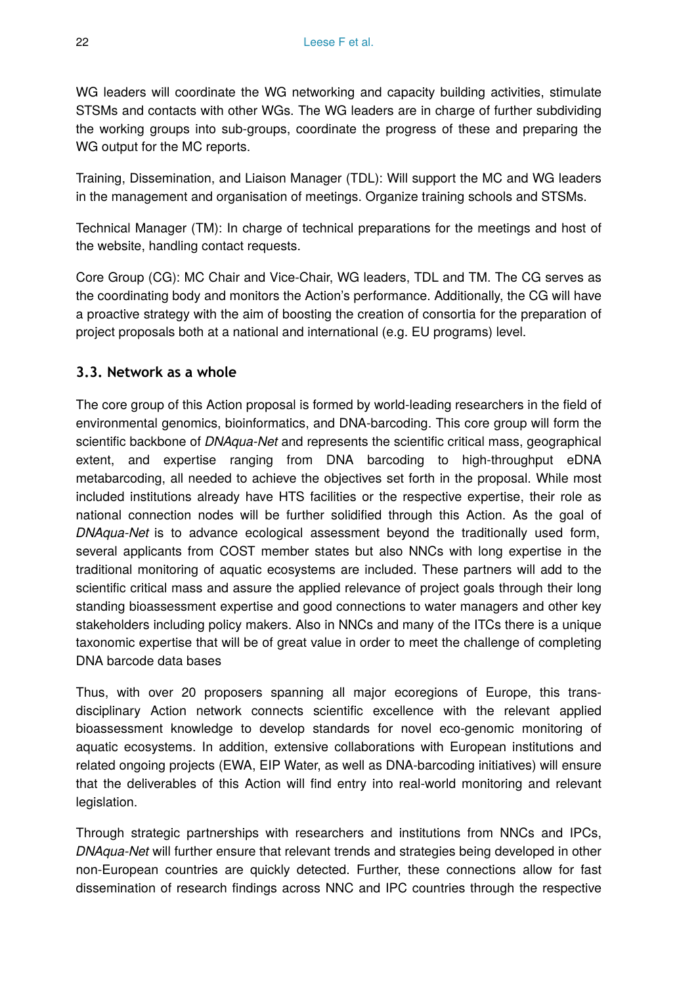WG leaders will coordinate the WG networking and capacity building activities, stimulate STSMs and contacts with other WGs. The WG leaders are in charge of further subdividing the working groups into sub-groups, coordinate the progress of these and preparing the WG output for the MC reports.

Training, Dissemination, and Liaison Manager (TDL): Will support the MC and WG leaders in the management and organisation of meetings. Organize training schools and STSMs.

Technical Manager (TM): In charge of technical preparations for the meetings and host of the website, handling contact requests.

Core Group (CG): MC Chair and Vice-Chair, WG leaders, TDL and TM. The CG serves as the coordinating body and monitors the Action's performance. Additionally, the CG will have a proactive strategy with the aim of boosting the creation of consortia for the preparation of project proposals both at a national and international (e.g. EU programs) level.

## **3.3. Network as a whole**

The core group of this Action proposal is formed by world-leading researchers in the field of environmental genomics, bioinformatics, and DNA-barcoding. This core group will form the scientific backbone of *DNAqua-Net* and represents the scientific critical mass, geographical extent, and expertise ranging from DNA barcoding to high-throughput eDNA metabarcoding, all needed to achieve the objectives set forth in the proposal. While most included institutions already have HTS facilities or the respective expertise, their role as national connection nodes will be further solidified through this Action. As the goal of *DNAqua-Net* is to advance ecological assessment beyond the traditionally used form, several applicants from COST member states but also NNCs with long expertise in the traditional monitoring of aquatic ecosystems are included. These partners will add to the scientific critical mass and assure the applied relevance of project goals through their long standing bioassessment expertise and good connections to water managers and other key stakeholders including policy makers. Also in NNCs and many of the ITCs there is a unique taxonomic expertise that will be of great value in order to meet the challenge of completing DNA barcode data bases

Thus, with over 20 proposers spanning all major ecoregions of Europe, this transdisciplinary Action network connects scientific excellence with the relevant applied bioassessment knowledge to develop standards for novel eco-genomic monitoring of aquatic ecosystems. In addition, extensive collaborations with European institutions and related ongoing projects (EWA, EIP Water, as well as DNA-barcoding initiatives) will ensure that the deliverables of this Action will find entry into real-world monitoring and relevant legislation.

Through strategic partnerships with researchers and institutions from NNCs and IPCs, *DNAqua-Net* will further ensure that relevant trends and strategies being developed in other non-European countries are quickly detected. Further, these connections allow for fast dissemination of research findings across NNC and IPC countries through the respective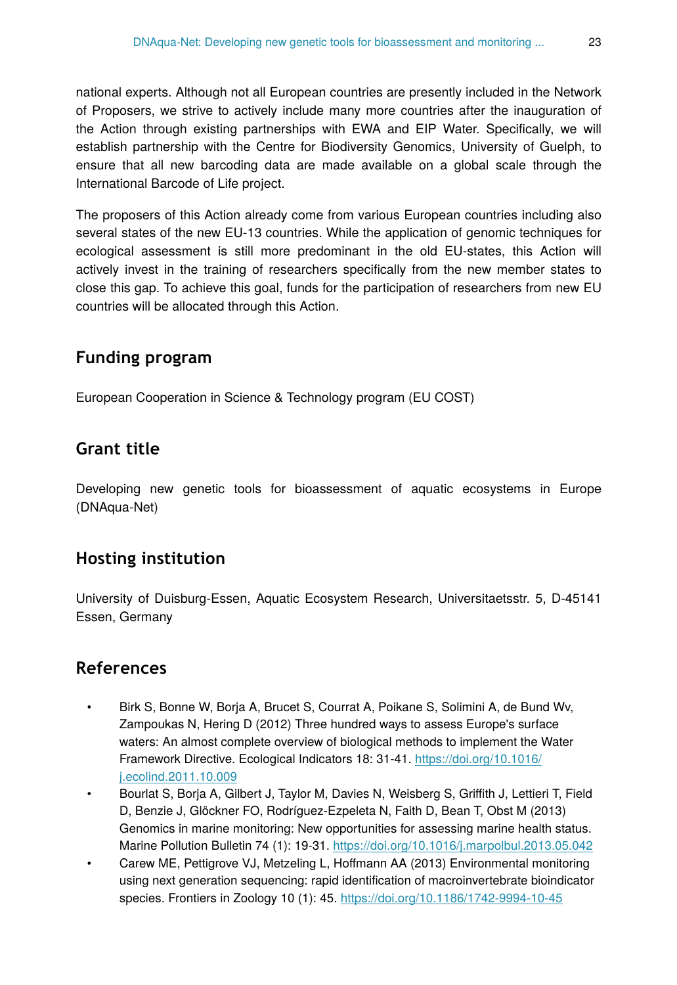national experts. Although not all European countries are presently included in the Network of Proposers, we strive to actively include many more countries after the inauguration of the Action through existing partnerships with EWA and EIP Water. Specifically, we will establish partnership with the Centre for Biodiversity Genomics, University of Guelph, to ensure that all new barcoding data are made available on a global scale through the International Barcode of Life project.

The proposers of this Action already come from various European countries including also several states of the new EU-13 countries. While the application of genomic techniques for ecological assessment is still more predominant in the old EU-states, this Action will actively invest in the training of researchers specifically from the new member states to close this gap. To achieve this goal, funds for the participation of researchers from new EU countries will be allocated through this Action.

# **Funding program**

European Cooperation in Science & Technology program (EU COST)

# **Grant title**

Developing new genetic tools for bioassessment of aquatic ecosystems in Europe (DNAqua-Net)

# **Hosting institution**

University of Duisburg-Essen, Aquatic Ecosystem Research, Universitaetsstr. 5, D-45141 Essen, Germany

# **References**

- Birk S, Bonne W, Borja A, Brucet S, Courrat A, Poikane S, Solimini A, de Bund Wv, Zampoukas N, Hering D (2012) Three hundred ways to assess Europe's surface waters: An almost complete overview of biological methods to implement the Water Framework Directive. Ecological Indicators 18: 31‑41. [https://doi.org/10.1016/](https://doi.org/10.1016/j.ecolind.2011.10.009) [j.ecolind.2011.10.009](https://doi.org/10.1016/j.ecolind.2011.10.009)
- Bourlat S, Borja A, Gilbert J, Taylor M, Davies N, Weisberg S, Griffith J, Lettieri T, Field D, Benzie J, Glöckner FO, Rodríguez-Ezpeleta N, Faith D, Bean T, Obst M (2013) Genomics in marine monitoring: New opportunities for assessing marine health status. Marine Pollution Bulletin 74 (1): 19‑31.<https://doi.org/10.1016/j.marpolbul.2013.05.042>
- Carew ME, Pettigrove VJ, Metzeling L, Hoffmann AA (2013) Environmental monitoring using next generation sequencing: rapid identification of macroinvertebrate bioindicator species. Frontiers in Zoology 10 (1): 45.<https://doi.org/10.1186/1742-9994-10-45>